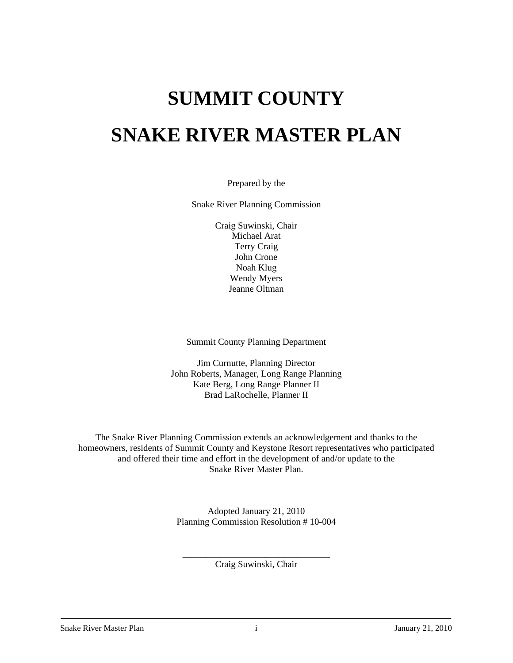# **SUMMIT COUNTY SNAKE RIVER MASTER PLAN**

Prepared by the

Snake River Planning Commission

Craig Suwinski, Chair Michael Arat Terry Craig John Crone Noah Klug Wendy Myers Jeanne Oltman

Summit County Planning Department

Jim Curnutte, Planning Director John Roberts, Manager, Long Range Planning Kate Berg, Long Range Planner II Brad LaRochelle, Planner II

The Snake River Planning Commission extends an acknowledgement and thanks to the homeowners, residents of Summit County and Keystone Resort representatives who participated and offered their time and effort in the development of and/or update to the Snake River Master Plan.

> Adopted January 21, 2010 Planning Commission Resolution # 10-004

\_\_\_\_\_\_\_\_\_\_\_\_\_\_\_\_\_\_\_\_\_\_\_\_\_ \_\_\_ \_\_\_\_ Craig Suwinski, Chair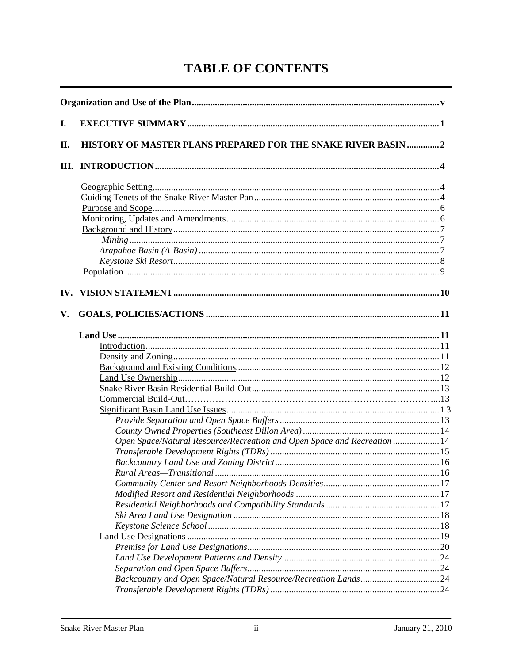## **TABLE OF CONTENTS**

| I.<br>HISTORY OF MASTER PLANS PREPARED FOR THE SNAKE RIVER BASIN 2<br>II.<br>Ш. |  |
|---------------------------------------------------------------------------------|--|
|                                                                                 |  |
|                                                                                 |  |
|                                                                                 |  |
|                                                                                 |  |
|                                                                                 |  |
|                                                                                 |  |
|                                                                                 |  |
|                                                                                 |  |
|                                                                                 |  |
|                                                                                 |  |
|                                                                                 |  |
|                                                                                 |  |
| IV.                                                                             |  |
| V.                                                                              |  |
|                                                                                 |  |
|                                                                                 |  |
|                                                                                 |  |
|                                                                                 |  |
|                                                                                 |  |
|                                                                                 |  |
|                                                                                 |  |
|                                                                                 |  |
|                                                                                 |  |
|                                                                                 |  |
| Open Space/Natural Resource/Recreation and Open Space and Recreation  14        |  |
|                                                                                 |  |
|                                                                                 |  |
|                                                                                 |  |
|                                                                                 |  |
|                                                                                 |  |
|                                                                                 |  |
|                                                                                 |  |
|                                                                                 |  |
|                                                                                 |  |
|                                                                                 |  |
|                                                                                 |  |
|                                                                                 |  |
|                                                                                 |  |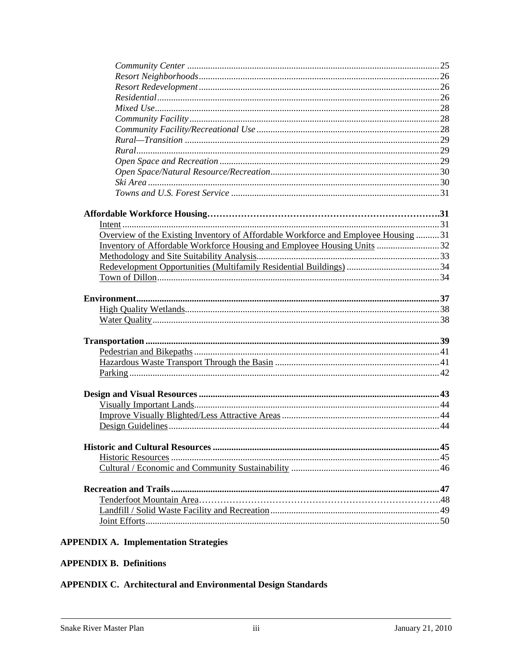| Overview of the Existing Inventory of Affordable Workforce and Employee Housing 31 |  |
|------------------------------------------------------------------------------------|--|
| Inventory of Affordable Workforce Housing and Employee Housing Units 32            |  |
|                                                                                    |  |
|                                                                                    |  |
|                                                                                    |  |
|                                                                                    |  |
|                                                                                    |  |
|                                                                                    |  |
|                                                                                    |  |
|                                                                                    |  |
|                                                                                    |  |
|                                                                                    |  |
|                                                                                    |  |
|                                                                                    |  |
|                                                                                    |  |
|                                                                                    |  |
|                                                                                    |  |
|                                                                                    |  |
|                                                                                    |  |
|                                                                                    |  |
|                                                                                    |  |
|                                                                                    |  |
|                                                                                    |  |
|                                                                                    |  |
|                                                                                    |  |
|                                                                                    |  |
|                                                                                    |  |

## **APPENDIX A. Implementation Strategies**

## **APPENDIX B. Definitions**

## **APPENDIX C. Architectural and Environmental Design Standards**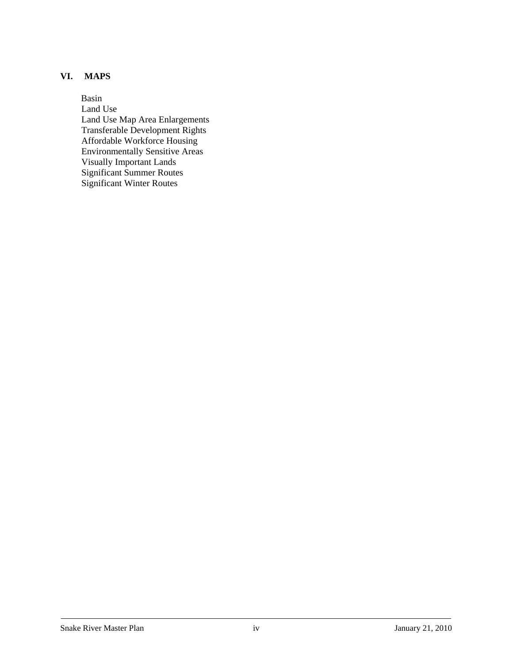## **VI. MAPS**

 Basin Land Use Land Use Map Area Enlargements Transferable Development Rights Affordable Workforce Housing Environmentally Sensitive Areas Visually Important Lands Significant Summer Routes Significant Winter Routes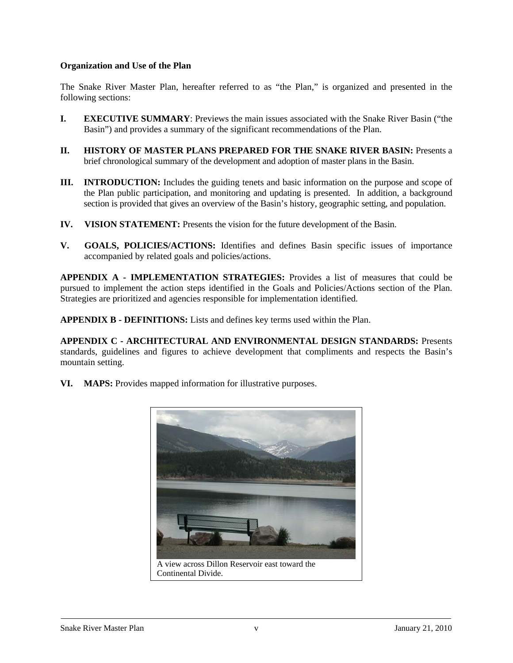### **Organization and Use of the Plan**

The Snake River Master Plan, hereafter referred to as "the Plan," is organized and presented in the following sections:

- **I. EXECUTIVE SUMMARY**: Previews the main issues associated with the Snake River Basin ("the Basin") and provides a summary of the significant recommendations of the Plan.
- **II. HISTORY OF MASTER PLANS PREPARED FOR THE SNAKE RIVER BASIN:** Presents a brief chronological summary of the development and adoption of master plans in the Basin.
- **III. INTRODUCTION:** Includes the guiding tenets and basic information on the purpose and scope of the Plan public participation, and monitoring and updating is presented. In addition, a background section is provided that gives an overview of the Basin's history, geographic setting, and population.
- **IV. VISION STATEMENT:** Presents the vision for the future development of the Basin.
- **V. GOALS, POLICIES/ACTIONS:** Identifies and defines Basin specific issues of importance accompanied by related goals and policies/actions.

**APPENDIX A - IMPLEMENTATION STRATEGIES:** Provides a list of measures that could be pursued to implement the action steps identified in the Goals and Policies/Actions section of the Plan. Strategies are prioritized and agencies responsible for implementation identified.

**APPENDIX B - DEFINITIONS:** Lists and defines key terms used within the Plan.

**APPENDIX C - ARCHITECTURAL AND ENVIRONMENTAL DESIGN STANDARDS:** Presents standards, guidelines and figures to achieve development that compliments and respects the Basin's mountain setting.

**VI. MAPS:** Provides mapped information for illustrative purposes.

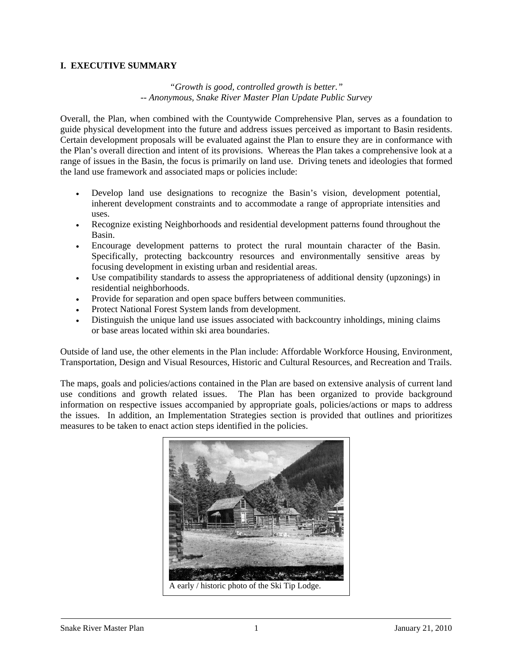#### **I. EXECUTIVE SUMMARY**

## *"Growth is good, controlled growth is better." -- Anonymous, Snake River Master Plan Update Public Survey*

Overall, the Plan, when combined with the Countywide Comprehensive Plan, serves as a foundation to guide physical development into the future and address issues perceived as important to Basin residents. Certain development proposals will be evaluated against the Plan to ensure they are in conformance with the Plan's overall direction and intent of its provisions. Whereas the Plan takes a comprehensive look at a range of issues in the Basin, the focus is primarily on land use. Driving tenets and ideologies that formed the land use framework and associated maps or policies include:

- Develop land use designations to recognize the Basin's vision, development potential, inherent development constraints and to accommodate a range of appropriate intensities and uses.
- Recognize existing Neighborhoods and residential development patterns found throughout the Basin.
- Encourage development patterns to protect the rural mountain character of the Basin. Specifically, protecting backcountry resources and environmentally sensitive areas by focusing development in existing urban and residential areas.
- Use compatibility standards to assess the appropriateness of additional density (upzonings) in residential neighborhoods.
- Provide for separation and open space buffers between communities.
- Protect National Forest System lands from development.
- Distinguish the unique land use issues associated with backcountry inholdings, mining claims or base areas located within ski area boundaries.

Outside of land use, the other elements in the Plan include: Affordable Workforce Housing, Environment, Transportation, Design and Visual Resources, Historic and Cultural Resources, and Recreation and Trails.

The maps, goals and policies/actions contained in the Plan are based on extensive analysis of current land use conditions and growth related issues. The Plan has been organized to provide background information on respective issues accompanied by appropriate goals, policies/actions or maps to address the issues. In addition, an Implementation Strategies section is provided that outlines and prioritizes measures to be taken to enact action steps identified in the policies.

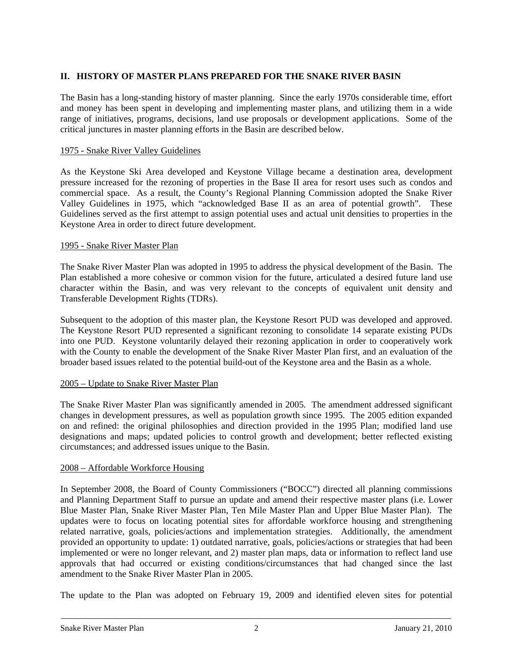## **II. HISTORY OF MASTER PLANS PREPARED FOR THE SNAKE RIVER BASIN**

The Basin has a long-standing history of master planning. Since the early 1970s considerable time, effort and money has been spent in developing and implementing master plans, and utilizing them in a wide range of initiatives, programs, decisions, land use proposals or development applications. Some of the critical junctures in master planning efforts in the Basin are described below.

## 1975 - Snake River Valley Guidelines

As the Keystone Ski Area developed and Keystone Village became a destination area, development pressure increased for the rezoning of properties in the Base II area for resort uses such as condos and commercial space. As a result, the County's Regional Planning Commission adopted the Snake River Valley Guidelines in 1975, which "acknowledged Base II as an area of potential growth". These Guidelines served as the first attempt to assign potential uses and actual unit densities to properties in the Keystone Area in order to direct future development.

## 1995 - Snake River Master Plan

The Snake River Master Plan was adopted in 1995 to address the physical development of the Basin. The Plan established a more cohesive or common vision for the future, articulated a desired future land use character within the Basin, and was very relevant to the concepts of equivalent unit density and Transferable Development Rights (TDRs).

Subsequent to the adoption of this master plan, the Keystone Resort PUD was developed and approved. The Keystone Resort PUD represented a significant rezoning to consolidate 14 separate existing PUDs into one PUD. Keystone voluntarily delayed their rezoning application in order to cooperatively work with the County to enable the development of the Snake River Master Plan first, and an evaluation of the broader based issues related to the potential build-out of the Keystone area and the Basin as a whole.

#### 2005 – Update to Snake River Master Plan

The Snake River Master Plan was significantly amended in 2005. The amendment addressed significant changes in development pressures, as well as population growth since 1995. The 2005 edition expanded on and refined: the original philosophies and direction provided in the 1995 Plan; modified land use designations and maps; updated policies to control growth and development; better reflected existing circumstances; and addressed issues unique to the Basin.

## 2008 – Affordable Workforce Housing

In September 2008, the Board of County Commissioners ("BOCC") directed all planning commissions and Planning Department Staff to pursue an update and amend their respective master plans (i.e. Lower Blue Master Plan, Snake River Master Plan, Ten Mile Master Plan and Upper Blue Master Plan). The updates were to focus on locating potential sites for affordable workforce housing and strengthening related narrative, goals, policies/actions and implementation strategies. Additionally, the amendment provided an opportunity to update: 1) outdated narrative, goals, policies/actions or strategies that had been implemented or were no longer relevant, and 2) master plan maps, data or information to reflect land use approvals that had occurred or existing conditions/circumstances that had changed since the last amendment to the Snake River Master Plan in 2005.

The update to the Plan was adopted on February 19, 2009 and identified eleven sites for potential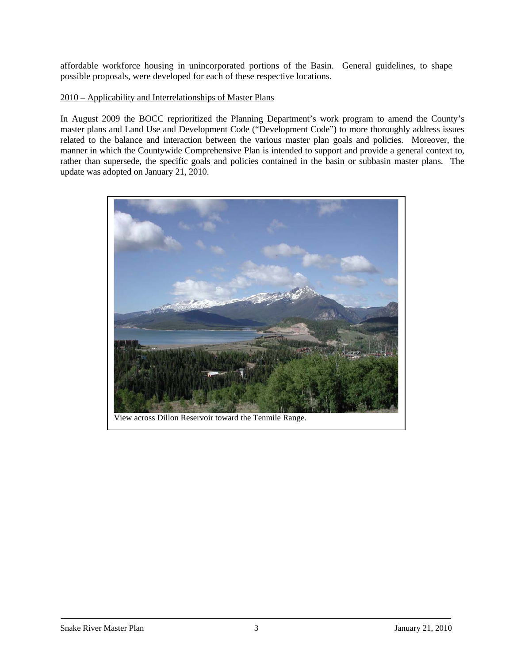affordable workforce housing in unincorporated portions of the Basin. General guidelines, to shape possible proposals, were developed for each of these respective locations.

#### 2010 – Applicability and Interrelationships of Master Plans

In August 2009 the BOCC reprioritized the Planning Department's work program to amend the County's master plans and Land Use and Development Code ("Development Code") to more thoroughly address issues related to the balance and interaction between the various master plan goals and policies. Moreover, the manner in which the Countywide Comprehensive Plan is intended to support and provide a general context to, rather than supersede, the specific goals and policies contained in the basin or subbasin master plans. The update was adopted on January 21, 2010.

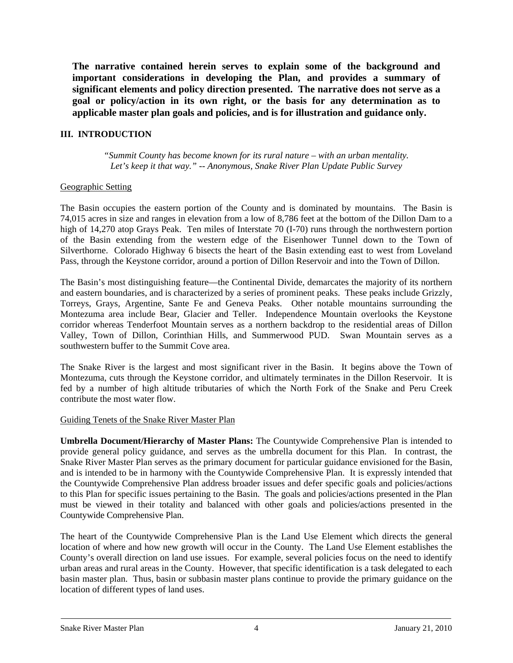**The narrative contained herein serves to explain some of the background and important considerations in developing the Plan, and provides a summary of significant elements and policy direction presented. The narrative does not serve as a goal or policy/action in its own right, or the basis for any determination as to applicable master plan goals and policies, and is for illustration and guidance only.** 

## **III. INTRODUCTION**

*"Summit County has become known for its rural nature – with an urban mentality. Let's keep it that way." -- Anonymous, Snake River Plan Update Public Survey*

#### Geographic Setting

The Basin occupies the eastern portion of the County and is dominated by mountains. The Basin is 74,015 acres in size and ranges in elevation from a low of 8,786 feet at the bottom of the Dillon Dam to a high of 14,270 atop Grays Peak. Ten miles of Interstate 70 (I-70) runs through the northwestern portion of the Basin extending from the western edge of the Eisenhower Tunnel down to the Town of Silverthorne. Colorado Highway 6 bisects the heart of the Basin extending east to west from Loveland Pass, through the Keystone corridor, around a portion of Dillon Reservoir and into the Town of Dillon.

The Basin's most distinguishing feature—the Continental Divide, demarcates the majority of its northern and eastern boundaries, and is characterized by a series of prominent peaks. These peaks include Grizzly, Torreys, Grays, Argentine, Sante Fe and Geneva Peaks. Other notable mountains surrounding the Montezuma area include Bear, Glacier and Teller. Independence Mountain overlooks the Keystone corridor whereas Tenderfoot Mountain serves as a northern backdrop to the residential areas of Dillon Valley, Town of Dillon, Corinthian Hills, and Summerwood PUD. Swan Mountain serves as a southwestern buffer to the Summit Cove area.

The Snake River is the largest and most significant river in the Basin. It begins above the Town of Montezuma, cuts through the Keystone corridor, and ultimately terminates in the Dillon Reservoir. It is fed by a number of high altitude tributaries of which the North Fork of the Snake and Peru Creek contribute the most water flow.

#### Guiding Tenets of the Snake River Master Plan

**Umbrella Document/Hierarchy of Master Plans:** The Countywide Comprehensive Plan is intended to provide general policy guidance, and serves as the umbrella document for this Plan. In contrast, the Snake River Master Plan serves as the primary document for particular guidance envisioned for the Basin, and is intended to be in harmony with the Countywide Comprehensive Plan. It is expressly intended that the Countywide Comprehensive Plan address broader issues and defer specific goals and policies/actions to this Plan for specific issues pertaining to the Basin. The goals and policies/actions presented in the Plan must be viewed in their totality and balanced with other goals and policies/actions presented in the Countywide Comprehensive Plan.

The heart of the Countywide Comprehensive Plan is the Land Use Element which directs the general location of where and how new growth will occur in the County. The Land Use Element establishes the County's overall direction on land use issues. For example, several policies focus on the need to identify urban areas and rural areas in the County. However, that specific identification is a task delegated to each basin master plan. Thus, basin or subbasin master plans continue to provide the primary guidance on the location of different types of land uses.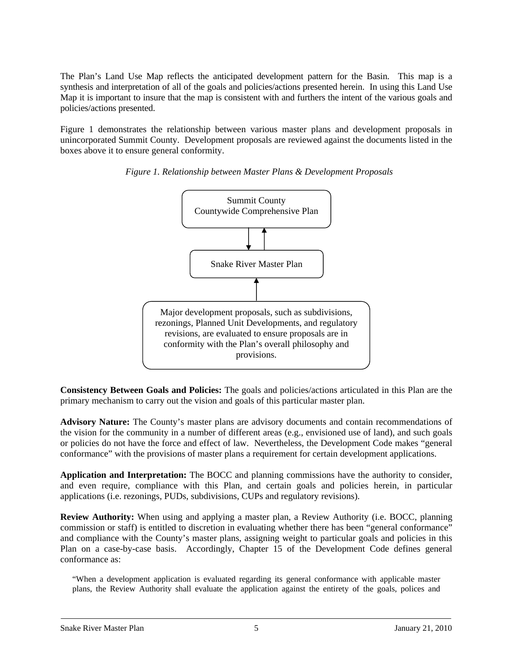The Plan's Land Use Map reflects the anticipated development pattern for the Basin. This map is a synthesis and interpretation of all of the goals and policies/actions presented herein. In using this Land Use Map it is important to insure that the map is consistent with and furthers the intent of the various goals and policies/actions presented.

Figure 1 demonstrates the relationship between various master plans and development proposals in unincorporated Summit County. Development proposals are reviewed against the documents listed in the boxes above it to ensure general conformity.



## *Figure 1. Relationship between Master Plans & Development Proposals*

**Consistency Between Goals and Policies:** The goals and policies/actions articulated in this Plan are the primary mechanism to carry out the vision and goals of this particular master plan.

**Advisory Nature:** The County's master plans are advisory documents and contain recommendations of the vision for the community in a number of different areas (e.g., envisioned use of land), and such goals or policies do not have the force and effect of law. Nevertheless, the Development Code makes "general conformance" with the provisions of master plans a requirement for certain development applications.

**Application and Interpretation:** The BOCC and planning commissions have the authority to consider, and even require, compliance with this Plan, and certain goals and policies herein, in particular applications (i.e. rezonings, PUDs, subdivisions, CUPs and regulatory revisions).

**Review Authority:** When using and applying a master plan, a Review Authority (i.e. BOCC, planning commission or staff) is entitled to discretion in evaluating whether there has been "general conformance" and compliance with the County's master plans, assigning weight to particular goals and policies in this Plan on a case-by-case basis. Accordingly, Chapter 15 of the Development Code defines general conformance as:

"When a development application is evaluated regarding its general conformance with applicable master plans, the Review Authority shall evaluate the application against the entirety of the goals, polices and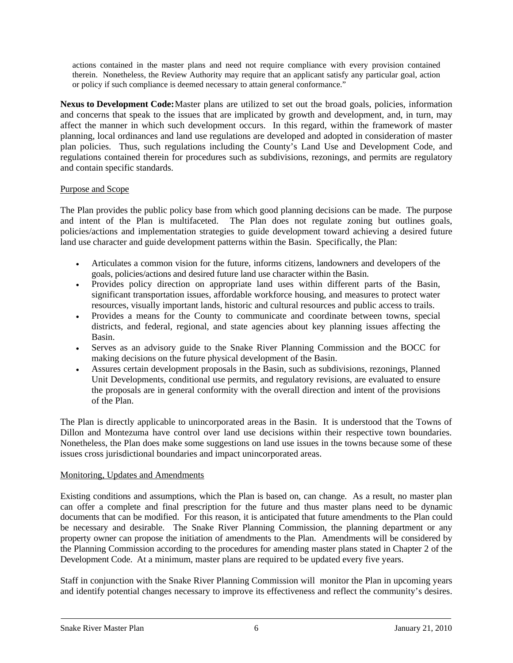actions contained in the master plans and need not require compliance with every provision contained therein. Nonetheless, the Review Authority may require that an applicant satisfy any particular goal, action or policy if such compliance is deemed necessary to attain general conformance."

**Nexus to Development Code:** Master plans are utilized to set out the broad goals, policies, information and concerns that speak to the issues that are implicated by growth and development, and, in turn, may affect the manner in which such development occurs. In this regard, within the framework of master planning, local ordinances and land use regulations are developed and adopted in consideration of master plan policies. Thus, such regulations including the County's Land Use and Development Code, and regulations contained therein for procedures such as subdivisions, rezonings, and permits are regulatory and contain specific standards.

## Purpose and Scope

The Plan provides the public policy base from which good planning decisions can be made. The purpose and intent of the Plan is multifaceted. The Plan does not regulate zoning but outlines goals, policies/actions and implementation strategies to guide development toward achieving a desired future land use character and guide development patterns within the Basin. Specifically, the Plan:

- Articulates a common vision for the future, informs citizens, landowners and developers of the goals, policies/actions and desired future land use character within the Basin.
- Provides policy direction on appropriate land uses within different parts of the Basin, significant transportation issues, affordable workforce housing, and measures to protect water resources, visually important lands, historic and cultural resources and public access to trails.
- Provides a means for the County to communicate and coordinate between towns, special districts, and federal, regional, and state agencies about key planning issues affecting the Basin.
- Serves as an advisory guide to the Snake River Planning Commission and the BOCC for making decisions on the future physical development of the Basin.
- Assures certain development proposals in the Basin, such as subdivisions, rezonings, Planned Unit Developments, conditional use permits, and regulatory revisions, are evaluated to ensure the proposals are in general conformity with the overall direction and intent of the provisions of the Plan.

The Plan is directly applicable to unincorporated areas in the Basin. It is understood that the Towns of Dillon and Montezuma have control over land use decisions within their respective town boundaries. Nonetheless, the Plan does make some suggestions on land use issues in the towns because some of these issues cross jurisdictional boundaries and impact unincorporated areas.

## Monitoring, Updates and Amendments

Existing conditions and assumptions, which the Plan is based on, can change. As a result, no master plan can offer a complete and final prescription for the future and thus master plans need to be dynamic documents that can be modified. For this reason, it is anticipated that future amendments to the Plan could be necessary and desirable. The Snake River Planning Commission, the planning department or any property owner can propose the initiation of amendments to the Plan. Amendments will be considered by the Planning Commission according to the procedures for amending master plans stated in Chapter 2 of the Development Code. At a minimum, master plans are required to be updated every five years.

Staff in conjunction with the Snake River Planning Commission will monitor the Plan in upcoming years and identify potential changes necessary to improve its effectiveness and reflect the community's desires.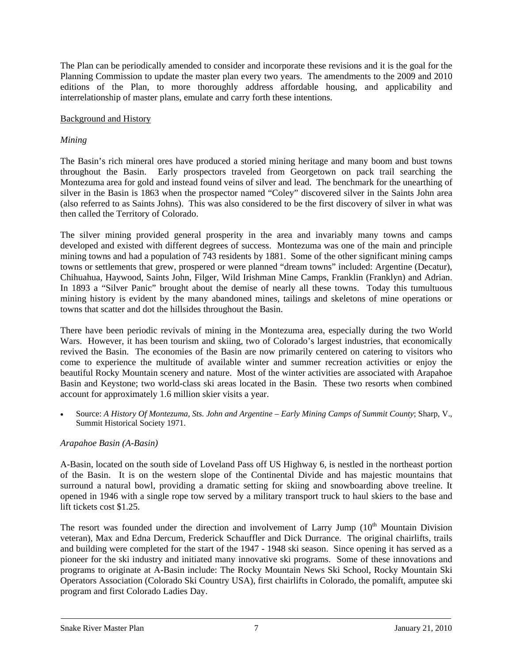The Plan can be periodically amended to consider and incorporate these revisions and it is the goal for the Planning Commission to update the master plan every two years. The amendments to the 2009 and 2010 editions of the Plan, to more thoroughly address affordable housing, and applicability and interrelationship of master plans, emulate and carry forth these intentions.

## Background and History

## *Mining*

The Basin's rich mineral ores have produced a storied mining heritage and many boom and bust towns throughout the Basin. Early prospectors traveled from Georgetown on pack trail searching the Montezuma area for gold and instead found veins of silver and lead. The benchmark for the unearthing of silver in the Basin is 1863 when the prospector named "Coley" discovered silver in the Saints John area (also referred to as Saints Johns). This was also considered to be the first discovery of silver in what was then called the Territory of Colorado.

The silver mining provided general prosperity in the area and invariably many towns and camps developed and existed with different degrees of success. Montezuma was one of the main and principle mining towns and had a population of 743 residents by 1881. Some of the other significant mining camps towns or settlements that grew, prospered or were planned "dream towns" included: Argentine (Decatur), Chihuahua, Haywood, Saints John, Filger, Wild Irishman Mine Camps, Franklin (Franklyn) and Adrian. In 1893 a "Silver Panic" brought about the demise of nearly all these towns. Today this tumultuous mining history is evident by the many abandoned mines, tailings and skeletons of mine operations or towns that scatter and dot the hillsides throughout the Basin.

There have been periodic revivals of mining in the Montezuma area, especially during the two World Wars. However, it has been tourism and skiing, two of Colorado's largest industries, that economically revived the Basin. The economies of the Basin are now primarily centered on catering to visitors who come to experience the multitude of available winter and summer recreation activities or enjoy the beautiful Rocky Mountain scenery and nature. Most of the winter activities are associated with Arapahoe Basin and Keystone; two world-class ski areas located in the Basin. These two resorts when combined account for approximately 1.6 million skier visits a year.

• Source: *A History Of Montezuma, Sts. John and Argentine – Early Mining Camps of Summit County*; Sharp, V., Summit Historical Society 1971.

## *Arapahoe Basin (A-Basin)*

A-Basin, located on the south side of Loveland Pass off US Highway 6, is nestled in the northeast portion of the Basin. It is on the western slope of the Continental Divide and has majestic mountains that surround a natural bowl, providing a dramatic setting for skiing and snowboarding above treeline. It opened in 1946 with a single rope tow served by a military transport truck to haul skiers to the base and lift tickets cost \$1.25.

The resort was founded under the direction and involvement of Larry Jump  $(10<sup>th</sup>$  Mountain Division veteran), Max and Edna Dercum, Frederick Schauffler and Dick Durrance. The original chairlifts, trails and building were completed for the start of the 1947 - 1948 ski season. Since opening it has served as a pioneer for the ski industry and initiated many innovative ski programs. Some of these innovations and programs to originate at A-Basin include: The Rocky Mountain News Ski School, Rocky Mountain Ski Operators Association (Colorado Ski Country USA), first chairlifts in Colorado, the pomalift, amputee ski program and first Colorado Ladies Day.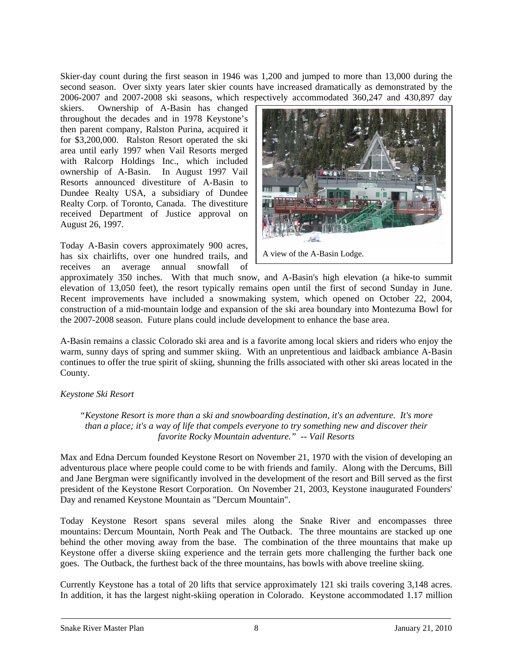Skier-day count during the first season in 1946 was 1,200 and jumped to more than 13,000 during the second season. Over sixty years later skier counts have increased dramatically as demonstrated by the 2006-2007 and 2007-2008 ski seasons, which respectively accommodated 360,247 and 430,897 day

skiers. Ownership of A-Basin has changed throughout the decades and in 1978 Keystone's then parent company, Ralston Purina, acquired it for \$3,200,000. Ralston Resort operated the ski area until early 1997 when Vail Resorts merged with Ralcorp Holdings Inc., which included ownership of A-Basin. In August 1997 Vail Resorts announced divestiture of A-Basin to Dundee Realty USA, a subsidiary of Dundee Realty Corp. of Toronto, Canada. The divestiture received Department of Justice approval on August 26, 1997.

Today A-Basin covers approximately 900 acres,<br>has six chairlifts over one hundred trails and A view of the A-Basin Lodge. has six chairlifts, over one hundred trails, and receives an average annual snowfall of



approximately 350 inches. With that much snow, and A-Basin's high elevation (a hike-to summit elevation of 13,050 feet), the resort typically remains open until the first of second Sunday in June. Recent improvements have included a snowmaking system, which opened on October 22, 2004, construction of a mid-mountain lodge and expansion of the ski area boundary into Montezuma Bowl for the 2007-2008 season. Future plans could include development to enhance the base area.

A-Basin remains a classic Colorado ski area and is a favorite among local skiers and riders who enjoy the warm, sunny days of spring and summer skiing. With an unpretentious and laidback ambiance A-Basin continues to offer the true spirit of skiing, shunning the frills associated with other ski areas located in the County.

## *Keystone Ski Resort*

*"Keystone Resort is more than a ski and snowboarding destination, it's an adventure. It's more than a place; it's a way of life that compels everyone to try something new and discover their favorite Rocky Mountain adventure." -- Vail Resorts* 

Max and Edna Dercum founded Keystone Resort on November 21, 1970 with the vision of developing an adventurous place where people could come to be with friends and family. Along with the Dercums, Bill and Jane Bergman were significantly involved in the development of the resort and Bill served as the first president of the Keystone Resort Corporation. On November 21, 2003, Keystone inaugurated Founders' Day and renamed Keystone Mountain as "Dercum Mountain".

Today Keystone Resort spans several miles along the Snake River and encompasses three mountains: Dercum Mountain, North Peak and The Outback. The three mountains are stacked up one behind the other moving away from the base. The combination of the three mountains that make up Keystone offer a diverse skiing experience and the terrain gets more challenging the further back one goes. The Outback, the furthest back of the three mountains, has bowls with above treeline skiing.

Currently Keystone has a total of 20 lifts that service approximately 121 ski trails covering 3,148 acres. In addition, it has the largest night-skiing operation in Colorado. Keystone accommodated 1.17 million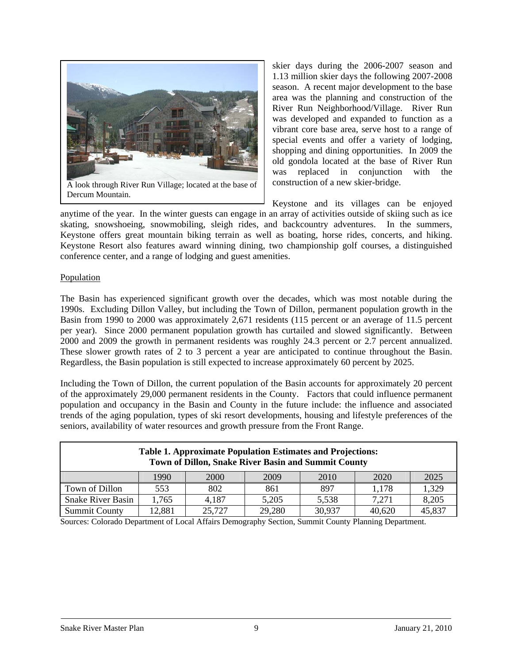

Dercum Mountain.

skier days during the 2006-2007 season and 1.13 million skier days the following 2007-2008 season. A recent major development to the base area was the planning and construction of the River Run Neighborhood/Village. River Run was developed and expanded to function as a vibrant core base area, serve host to a range of special events and offer a variety of lodging, shopping and dining opportunities. In 2009 the old gondola located at the base of River Run was replaced in conjunction with the

Keystone and its villages can be enjoyed anytime of the year. In the winter guests can engage in an array of activities outside of skiing such as ice skating, snowshoeing, snowmobiling, sleigh rides, and backcountry adventures. In the summers, Keystone offers great mountain biking terrain as well as boating, horse rides, concerts, and hiking. Keystone Resort also features award winning dining, two championship golf courses, a distinguished conference center, and a range of lodging and guest amenities.

#### Population

The Basin has experienced significant growth over the decades, which was most notable during the 1990s. Excluding Dillon Valley, but including the Town of Dillon, permanent population growth in the Basin from 1990 to 2000 was approximately 2,671 residents (115 percent or an average of 11.5 percent per year). Since 2000 permanent population growth has curtailed and slowed significantly. Between 2000 and 2009 the growth in permanent residents was roughly 24.3 percent or 2.7 percent annualized. These slower growth rates of 2 to 3 percent a year are anticipated to continue throughout the Basin. Regardless, the Basin population is still expected to increase approximately 60 percent by 2025.

Including the Town of Dillon, the current population of the Basin accounts for approximately 20 percent of the approximately 29,000 permanent residents in the County. Factors that could influence permanent population and occupancy in the Basin and County in the future include: the influence and associated trends of the aging population, types of ski resort developments, housing and lifestyle preferences of the seniors, availability of water resources and growth pressure from the Front Range.

| <b>Table 1. Approximate Population Estimates and Projections:</b><br>Town of Dillon, Snake River Basin and Summit County |       |       |       |       |       |       |  |
|--------------------------------------------------------------------------------------------------------------------------|-------|-------|-------|-------|-------|-------|--|
| 2025<br>1990<br>2009<br>2000<br>2010<br>2020                                                                             |       |       |       |       |       |       |  |
| Town of Dillon                                                                                                           | 553   | 802   | 861   | 897   | 1,178 | 1,329 |  |
| <b>Snake River Basin</b>                                                                                                 | 1.765 | 4,187 | 5,205 | 5,538 | 7.271 | 8,205 |  |
| 45,837<br>29,280<br>30,937<br><b>Summit County</b><br>25,727<br>12,881<br>40,620                                         |       |       |       |       |       |       |  |

Sources: Colorado Department of Local Affairs Demography Section, Summit County Planning Department.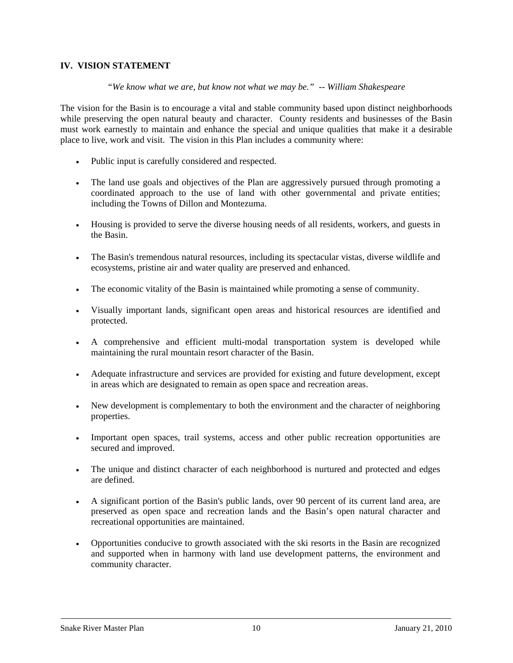## **IV. VISION STATEMENT**

*"We know what we are, but know not what we may be." -- William Shakespeare* 

The vision for the Basin is to encourage a vital and stable community based upon distinct neighborhoods while preserving the open natural beauty and character. County residents and businesses of the Basin must work earnestly to maintain and enhance the special and unique qualities that make it a desirable place to live, work and visit. The vision in this Plan includes a community where:

- Public input is carefully considered and respected.
- The land use goals and objectives of the Plan are aggressively pursued through promoting a coordinated approach to the use of land with other governmental and private entities; including the Towns of Dillon and Montezuma.
- Housing is provided to serve the diverse housing needs of all residents, workers, and guests in the Basin.
- The Basin's tremendous natural resources, including its spectacular vistas, diverse wildlife and ecosystems, pristine air and water quality are preserved and enhanced.
- The economic vitality of the Basin is maintained while promoting a sense of community.
- Visually important lands, significant open areas and historical resources are identified and protected.
- A comprehensive and efficient multi-modal transportation system is developed while maintaining the rural mountain resort character of the Basin.
- Adequate infrastructure and services are provided for existing and future development, except in areas which are designated to remain as open space and recreation areas.
- New development is complementary to both the environment and the character of neighboring properties.
- Important open spaces, trail systems, access and other public recreation opportunities are secured and improved.
- The unique and distinct character of each neighborhood is nurtured and protected and edges are defined.
- A significant portion of the Basin's public lands, over 90 percent of its current land area, are preserved as open space and recreation lands and the Basin's open natural character and recreational opportunities are maintained.
- Opportunities conducive to growth associated with the ski resorts in the Basin are recognized and supported when in harmony with land use development patterns, the environment and community character.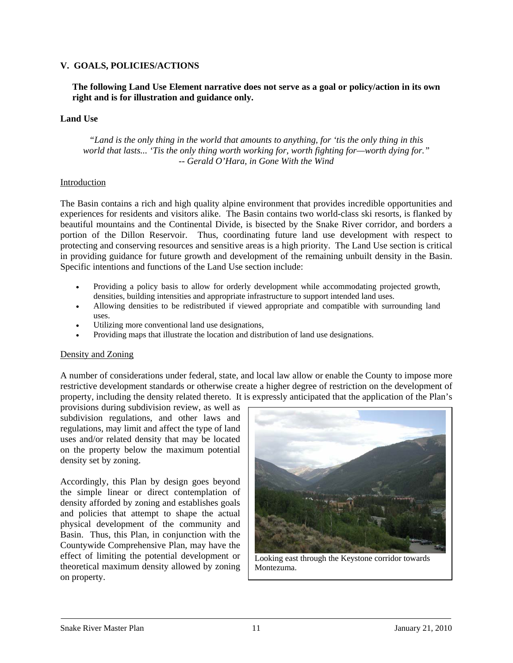## **V. GOALS, POLICIES/ACTIONS**

### **The following Land Use Element narrative does not serve as a goal or policy/action in its own right and is for illustration and guidance only.**

#### **Land Use**

*"Land is the only thing in the world that amounts to anything, for 'tis the only thing in this world that lasts... 'Tis the only thing worth working for, worth fighting for—worth dying for." -- Gerald O'Hara, in Gone With the Wind*

#### Introduction

The Basin contains a rich and high quality alpine environment that provides incredible opportunities and experiences for residents and visitors alike. The Basin contains two world-class ski resorts, is flanked by beautiful mountains and the Continental Divide, is bisected by the Snake River corridor, and borders a portion of the Dillon Reservoir. Thus, coordinating future land use development with respect to protecting and conserving resources and sensitive areas is a high priority. The Land Use section is critical in providing guidance for future growth and development of the remaining unbuilt density in the Basin. Specific intentions and functions of the Land Use section include:

- Providing a policy basis to allow for orderly development while accommodating projected growth, densities, building intensities and appropriate infrastructure to support intended land uses.
- Allowing densities to be redistributed if viewed appropriate and compatible with surrounding land uses.
- Utilizing more conventional land use designations,
- Providing maps that illustrate the location and distribution of land use designations.

#### Density and Zoning

A number of considerations under federal, state, and local law allow or enable the County to impose more restrictive development standards or otherwise create a higher degree of restriction on the development of property, including the density related thereto. It is expressly anticipated that the application of the Plan's

provisions during subdivision review, as well as subdivision regulations, and other laws and regulations, may limit and affect the type of land uses and/or related density that may be located on the property below the maximum potential density set by zoning.

Accordingly, this Plan by design goes beyond the simple linear or direct contemplation of density afforded by zoning and establishes goals and policies that attempt to shape the actual physical development of the community and Basin. Thus, this Plan, in conjunction with the Countywide Comprehensive Plan, may have the effect of limiting the potential development or theoretical maximum density allowed by zoning on property.



Looking east through the Keystone corridor towards Montezuma.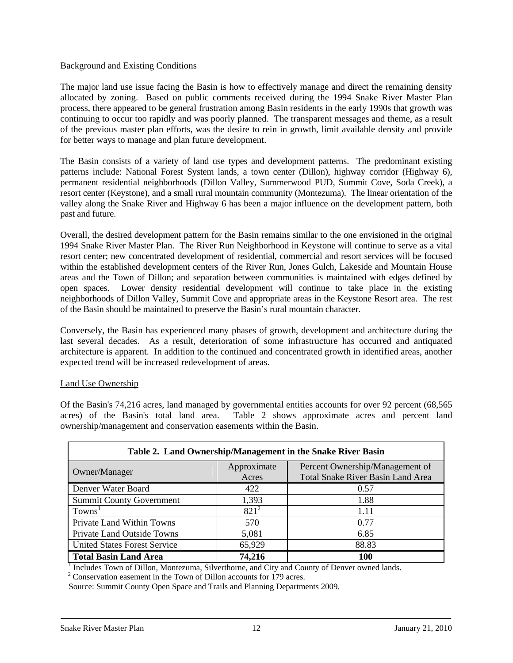#### Background and Existing Conditions

The major land use issue facing the Basin is how to effectively manage and direct the remaining density allocated by zoning. Based on public comments received during the 1994 Snake River Master Plan process, there appeared to be general frustration among Basin residents in the early 1990s that growth was continuing to occur too rapidly and was poorly planned. The transparent messages and theme, as a result of the previous master plan efforts, was the desire to rein in growth, limit available density and provide for better ways to manage and plan future development.

The Basin consists of a variety of land use types and development patterns. The predominant existing patterns include: National Forest System lands, a town center (Dillon), highway corridor (Highway 6), permanent residential neighborhoods (Dillon Valley, Summerwood PUD, Summit Cove, Soda Creek), a resort center (Keystone), and a small rural mountain community (Montezuma). The linear orientation of the valley along the Snake River and Highway 6 has been a major influence on the development pattern, both past and future.

Overall, the desired development pattern for the Basin remains similar to the one envisioned in the original 1994 Snake River Master Plan. The River Run Neighborhood in Keystone will continue to serve as a vital resort center; new concentrated development of residential, commercial and resort services will be focused within the established development centers of the River Run, Jones Gulch, Lakeside and Mountain House areas and the Town of Dillon; and separation between communities is maintained with edges defined by open spaces. Lower density residential development will continue to take place in the existing neighborhoods of Dillon Valley, Summit Cove and appropriate areas in the Keystone Resort area. The rest of the Basin should be maintained to preserve the Basin's rural mountain character.

Conversely, the Basin has experienced many phases of growth, development and architecture during the last several decades. As a result, deterioration of some infrastructure has occurred and antiquated architecture is apparent. In addition to the continued and concentrated growth in identified areas, another expected trend will be increased redevelopment of areas.

## Land Use Ownership

Of the Basin's 74,216 acres, land managed by governmental entities accounts for over 92 percent (68,565 acres) of the Basin's total land area. Table 2 shows approximate acres and percent land ownership/management and conservation easements within the Basin.

| Table 2. Land Ownership/Management in the Snake River Basin |                      |                                                                             |  |  |  |
|-------------------------------------------------------------|----------------------|-----------------------------------------------------------------------------|--|--|--|
| Owner/Manager                                               | Approximate<br>Acres | Percent Ownership/Management of<br><b>Total Snake River Basin Land Area</b> |  |  |  |
| Denver Water Board                                          | 422                  | 0.57                                                                        |  |  |  |
| <b>Summit County Government</b>                             | 1,393                | 1.88                                                                        |  |  |  |
| Towns <sup>1</sup>                                          | $821^2$              | 1.11                                                                        |  |  |  |
| Private Land Within Towns                                   | 570                  | 0.77                                                                        |  |  |  |
| Private Land Outside Towns                                  | 5,081                | 6.85                                                                        |  |  |  |
| <b>United States Forest Service</b>                         | 65,929               | 88.83                                                                       |  |  |  |
| <b>Total Basin Land Area</b>                                | 74,216               | 100                                                                         |  |  |  |

<sup>1</sup> Includes Town of Dillon, Montezuma, Silverthorne, and City and County of Denver owned lands.

 $2^2$  Conservation easement in the Town of Dillon accounts for 179 acres.

Source: Summit County Open Space and Trails and Planning Departments 2009.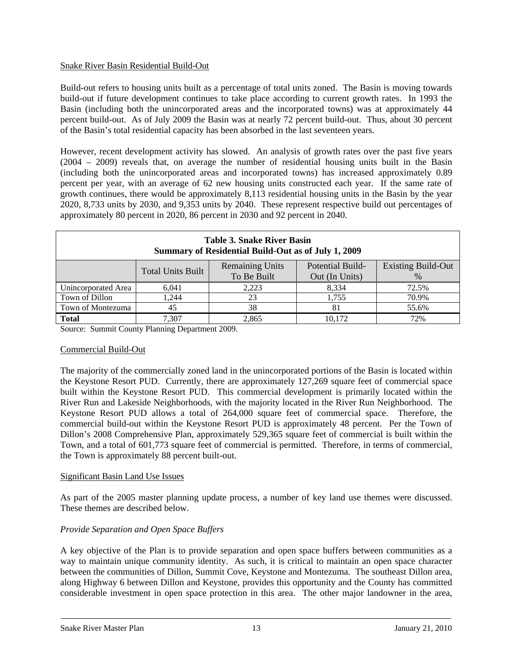## Snake River Basin Residential Build-Out

Build-out refers to housing units built as a percentage of total units zoned. The Basin is moving towards build-out if future development continues to take place according to current growth rates. In 1993 the Basin (including both the unincorporated areas and the incorporated towns) was at approximately 44 percent build-out. As of July 2009 the Basin was at nearly 72 percent build-out. Thus, about 30 percent of the Basin's total residential capacity has been absorbed in the last seventeen years.

However, recent development activity has slowed. An analysis of growth rates over the past five years (2004 – 2009) reveals that, on average the number of residential housing units built in the Basin (including both the unincorporated areas and incorporated towns) has increased approximately 0.89 percent per year, with an average of 62 new housing units constructed each year. If the same rate of growth continues, there would be approximately 8,113 residential housing units in the Basin by the year 2020, 8,733 units by 2030, and 9,353 units by 2040. These represent respective build out percentages of approximately 80 percent in 2020, 86 percent in 2030 and 92 percent in 2040.

| Table 3. Snake River Basin<br>Summary of Residential Build-Out as of July 1, 2009 |                                                                                                                                              |       |        |       |  |  |
|-----------------------------------------------------------------------------------|----------------------------------------------------------------------------------------------------------------------------------------------|-------|--------|-------|--|--|
|                                                                                   | <b>Remaining Units</b><br><b>Existing Build-Out</b><br>Potential Build-<br><b>Total Units Built</b><br>To Be Built<br>Out (In Units)<br>$\%$ |       |        |       |  |  |
| Unincorporated Area                                                               | 6,041                                                                                                                                        | 2,223 | 8,334  | 72.5% |  |  |
|                                                                                   |                                                                                                                                              |       |        |       |  |  |
| Town of Dillon                                                                    | 1.244                                                                                                                                        | 23    | 1.755  | 70.9% |  |  |
| Town of Montezuma                                                                 | 45                                                                                                                                           | 38    | 81     | 55.6% |  |  |
| <b>Total</b>                                                                      | 7.307                                                                                                                                        | 2,865 | 10,172 | 72%   |  |  |

Source: Summit County Planning Department 2009.

## Commercial Build-Out

The majority of the commercially zoned land in the unincorporated portions of the Basin is located within the Keystone Resort PUD. Currently, there are approximately 127,269 square feet of commercial space built within the Keystone Resort PUD. This commercial development is primarily located within the River Run and Lakeside Neighborhoods, with the majority located in the River Run Neighborhood. The Keystone Resort PUD allows a total of 264,000 square feet of commercial space. Therefore, the commercial build-out within the Keystone Resort PUD is approximately 48 percent. Per the Town of Dillon's 2008 Comprehensive Plan, approximately 529,365 square feet of commercial is built within the Town, and a total of 601,773 square feet of commercial is permitted. Therefore, in terms of commercial, the Town is approximately 88 percent built-out.

## Significant Basin Land Use Issues

As part of the 2005 master planning update process, a number of key land use themes were discussed. These themes are described below.

## *Provide Separation and Open Space Buffers*

A key objective of the Plan is to provide separation and open space buffers between communities as a way to maintain unique community identity. As such, it is critical to maintain an open space character between the communities of Dillon, Summit Cove, Keystone and Montezuma. The southeast Dillon area, along Highway 6 between Dillon and Keystone, provides this opportunity and the County has committed considerable investment in open space protection in this area. The other major landowner in the area,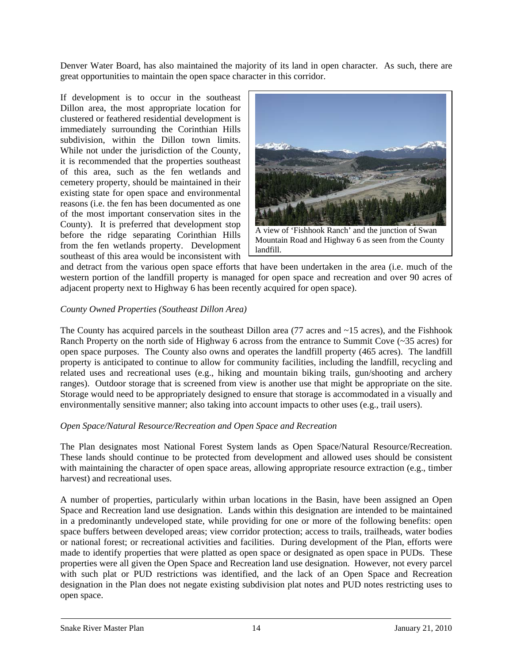Denver Water Board, has also maintained the majority of its land in open character. As such, there are great opportunities to maintain the open space character in this corridor.

If development is to occur in the southeast Dillon area, the most appropriate location for clustered or feathered residential development is immediately surrounding the Corinthian Hills subdivision, within the Dillon town limits. While not under the jurisdiction of the County, it is recommended that the properties southeast of this area, such as the fen wetlands and cemetery property, should be maintained in their existing state for open space and environmental reasons (i.e. the fen has been documented as one of the most important conservation sites in the County). It is preferred that development stop before the ridge separating Corinthian Hills from the fen wetlands property. Development southeast of this area would be inconsistent with



A view of 'Fishhook Ranch' and the junction of Swan Mountain Road and Highway 6 as seen from the County landfill.

and detract from the various open space efforts that have been undertaken in the area (i.e. much of the western portion of the landfill property is managed for open space and recreation and over 90 acres of adjacent property next to Highway 6 has been recently acquired for open space).

## *County Owned Properties (Southeast Dillon Area)*

The County has acquired parcels in the southeast Dillon area  $(77 \text{ acres}$  and  $\sim 15 \text{ acres}$ ), and the Fishhook Ranch Property on the north side of Highway 6 across from the entrance to Summit Cove (~35 acres) for open space purposes. The County also owns and operates the landfill property (465 acres). The landfill property is anticipated to continue to allow for community facilities, including the landfill, recycling and related uses and recreational uses (e.g., hiking and mountain biking trails, gun/shooting and archery ranges). Outdoor storage that is screened from view is another use that might be appropriate on the site. Storage would need to be appropriately designed to ensure that storage is accommodated in a visually and environmentally sensitive manner; also taking into account impacts to other uses (e.g., trail users).

## *Open Space/Natural Resource/Recreation and Open Space and Recreation*

The Plan designates most National Forest System lands as Open Space/Natural Resource/Recreation. These lands should continue to be protected from development and allowed uses should be consistent with maintaining the character of open space areas, allowing appropriate resource extraction (e.g., timber harvest) and recreational uses.

A number of properties, particularly within urban locations in the Basin, have been assigned an Open Space and Recreation land use designation. Lands within this designation are intended to be maintained in a predominantly undeveloped state, while providing for one or more of the following benefits: open space buffers between developed areas; view corridor protection; access to trails, trailheads, water bodies or national forest; or recreational activities and facilities. During development of the Plan, efforts were made to identify properties that were platted as open space or designated as open space in PUDs. These properties were all given the Open Space and Recreation land use designation. However, not every parcel with such plat or PUD restrictions was identified, and the lack of an Open Space and Recreation designation in the Plan does not negate existing subdivision plat notes and PUD notes restricting uses to open space.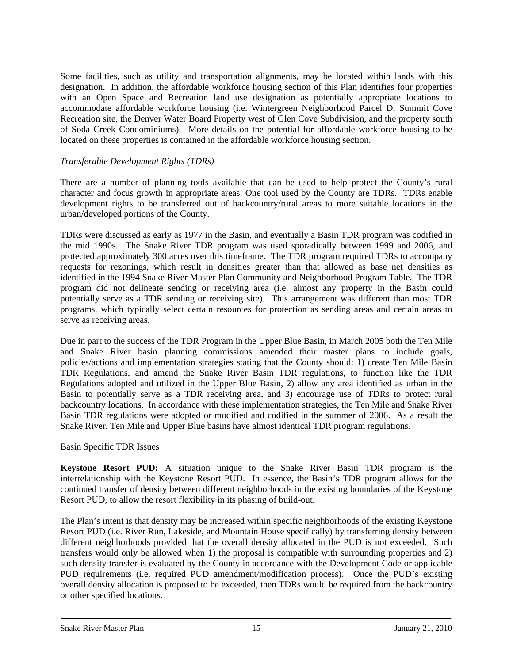Some facilities, such as utility and transportation alignments, may be located within lands with this designation. In addition, the affordable workforce housing section of this Plan identifies four properties with an Open Space and Recreation land use designation as potentially appropriate locations to accommodate affordable workforce housing (i.e. Wintergreen Neighborhood Parcel D, Summit Cove Recreation site, the Denver Water Board Property west of Glen Cove Subdivision, and the property south of Soda Creek Condominiums). More details on the potential for affordable workforce housing to be located on these properties is contained in the affordable workforce housing section.

## *Transferable Development Rights (TDRs)*

There are a number of planning tools available that can be used to help protect the County's rural character and focus growth in appropriate areas. One tool used by the County are TDRs. TDRs enable development rights to be transferred out of backcountry/rural areas to more suitable locations in the urban/developed portions of the County.

TDRs were discussed as early as 1977 in the Basin, and eventually a Basin TDR program was codified in the mid 1990s. The Snake River TDR program was used sporadically between 1999 and 2006, and protected approximately 300 acres over this timeframe. The TDR program required TDRs to accompany requests for rezonings, which result in densities greater than that allowed as base net densities as identified in the 1994 Snake River Master Plan Community and Neighborhood Program Table. The TDR program did not delineate sending or receiving area (i.e. almost any property in the Basin could potentially serve as a TDR sending or receiving site). This arrangement was different than most TDR programs, which typically select certain resources for protection as sending areas and certain areas to serve as receiving areas.

Due in part to the success of the TDR Program in the Upper Blue Basin, in March 2005 both the Ten Mile and Snake River basin planning commissions amended their master plans to include goals, policies/actions and implementation strategies stating that the County should: 1) create Ten Mile Basin TDR Regulations, and amend the Snake River Basin TDR regulations, to function like the TDR Regulations adopted and utilized in the Upper Blue Basin, 2) allow any area identified as urban in the Basin to potentially serve as a TDR receiving area, and 3) encourage use of TDRs to protect rural backcountry locations. In accordance with these implementation strategies, the Ten Mile and Snake River Basin TDR regulations were adopted or modified and codified in the summer of 2006. As a result the Snake River, Ten Mile and Upper Blue basins have almost identical TDR program regulations.

#### Basin Specific TDR Issues

**Keystone Resort PUD:** A situation unique to the Snake River Basin TDR program is the interrelationship with the Keystone Resort PUD. In essence, the Basin's TDR program allows for the continued transfer of density between different neighborhoods in the existing boundaries of the Keystone Resort PUD, to allow the resort flexibility in its phasing of build-out.

The Plan's intent is that density may be increased within specific neighborhoods of the existing Keystone Resort PUD (i.e. River Run, Lakeside, and Mountain House specifically) by transferring density between different neighborhoods provided that the overall density allocated in the PUD is not exceeded. Such transfers would only be allowed when 1) the proposal is compatible with surrounding properties and 2) such density transfer is evaluated by the County in accordance with the Development Code or applicable PUD requirements (i.e. required PUD amendment/modification process). Once the PUD's existing overall density allocation is proposed to be exceeded, then TDRs would be required from the backcountry or other specified locations.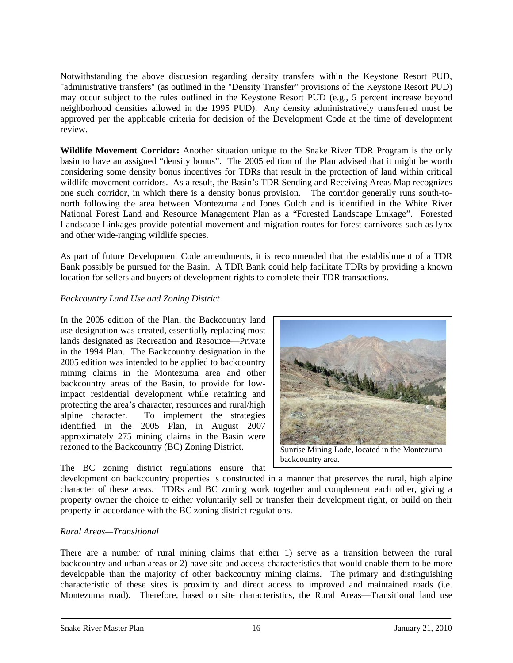Notwithstanding the above discussion regarding density transfers within the Keystone Resort PUD, "administrative transfers" (as outlined in the "Density Transfer" provisions of the Keystone Resort PUD) may occur subject to the rules outlined in the Keystone Resort PUD (e.g., 5 percent increase beyond neighborhood densities allowed in the 1995 PUD). Any density administratively transferred must be approved per the applicable criteria for decision of the Development Code at the time of development review.

**Wildlife Movement Corridor:** Another situation unique to the Snake River TDR Program is the only basin to have an assigned "density bonus". The 2005 edition of the Plan advised that it might be worth considering some density bonus incentives for TDRs that result in the protection of land within critical wildlife movement corridors. As a result, the Basin's TDR Sending and Receiving Areas Map recognizes one such corridor, in which there is a density bonus provision. The corridor generally runs south-tonorth following the area between Montezuma and Jones Gulch and is identified in the White River National Forest Land and Resource Management Plan as a "Forested Landscape Linkage". Forested Landscape Linkages provide potential movement and migration routes for forest carnivores such as lynx and other wide-ranging wildlife species.

As part of future Development Code amendments, it is recommended that the establishment of a TDR Bank possibly be pursued for the Basin. A TDR Bank could help facilitate TDRs by providing a known location for sellers and buyers of development rights to complete their TDR transactions.

## *Backcountry Land Use and Zoning District*

In the 2005 edition of the Plan, the Backcountry land use designation was created, essentially replacing most lands designated as Recreation and Resource—Private in the 1994 Plan. The Backcountry designation in the 2005 edition was intended to be applied to backcountry mining claims in the Montezuma area and other backcountry areas of the Basin, to provide for lowimpact residential development while retaining and protecting the area's character, resources and rural/high alpine character. To implement the strategies identified in the 2005 Plan, in August 2007 approximately 275 mining claims in the Basin were rezoned to the Backcountry (BC) Zoning District. Sunrise Mining Lode, located in the Montezuma



## The BC zoning district regulations ensure that

development on backcountry properties is constructed in a manner that preserves the rural, high alpine character of these areas. TDRs and BC zoning work together and complement each other, giving a property owner the choice to either voluntarily sell or transfer their development right, or build on their property in accordance with the BC zoning district regulations.

## *Rural Areas—Transitional*

There are a number of rural mining claims that either 1) serve as a transition between the rural backcountry and urban areas or 2) have site and access characteristics that would enable them to be more developable than the majority of other backcountry mining claims. The primary and distinguishing characteristic of these sites is proximity and direct access to improved and maintained roads (i.e. Montezuma road). Therefore, based on site characteristics, the Rural Areas—Transitional land use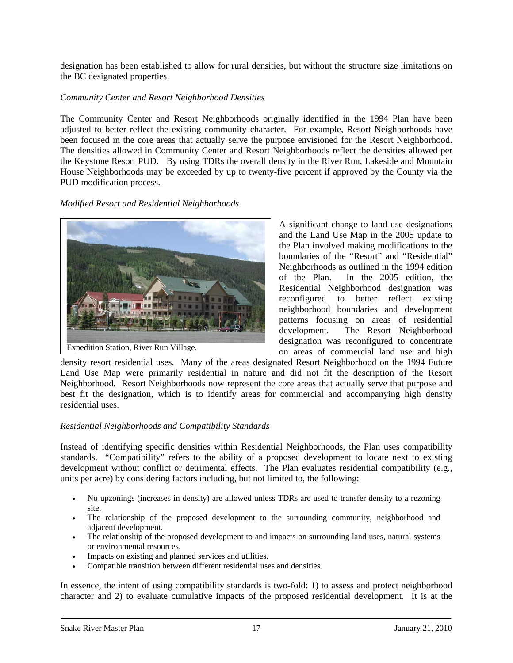designation has been established to allow for rural densities, but without the structure size limitations on the BC designated properties.

## *Community Center and Resort Neighborhood Densities*

The Community Center and Resort Neighborhoods originally identified in the 1994 Plan have been adjusted to better reflect the existing community character. For example, Resort Neighborhoods have been focused in the core areas that actually serve the purpose envisioned for the Resort Neighborhood. The densities allowed in Community Center and Resort Neighborhoods reflect the densities allowed per the Keystone Resort PUD. By using TDRs the overall density in the River Run, Lakeside and Mountain House Neighborhoods may be exceeded by up to twenty-five percent if approved by the County via the PUD modification process.

#### *Modified Resort and Residential Neighborhoods*



A significant change to land use designations and the Land Use Map in the 2005 update to the Plan involved making modifications to the boundaries of the "Resort" and "Residential" Neighborhoods as outlined in the 1994 edition of the Plan. In the 2005 edition, the Residential Neighborhood designation was reconfigured to better reflect existing neighborhood boundaries and development patterns focusing on areas of residential development. The Resort Neighborhood designation was reconfigured to concentrate on areas of commercial land use and high

density resort residential uses. Many of the areas designated Resort Neighborhood on the 1994 Future Land Use Map were primarily residential in nature and did not fit the description of the Resort Neighborhood. Resort Neighborhoods now represent the core areas that actually serve that purpose and best fit the designation, which is to identify areas for commercial and accompanying high density residential uses.

#### *Residential Neighborhoods and Compatibility Standards*

Instead of identifying specific densities within Residential Neighborhoods, the Plan uses compatibility standards. "Compatibility" refers to the ability of a proposed development to locate next to existing development without conflict or detrimental effects. The Plan evaluates residential compatibility (e.g., units per acre) by considering factors including, but not limited to, the following:

- No upzonings (increases in density) are allowed unless TDRs are used to transfer density to a rezoning site.
- The relationship of the proposed development to the surrounding community, neighborhood and adjacent development.
- The relationship of the proposed development to and impacts on surrounding land uses, natural systems or environmental resources.
- Impacts on existing and planned services and utilities.
- Compatible transition between different residential uses and densities.

In essence, the intent of using compatibility standards is two-fold: 1) to assess and protect neighborhood character and 2) to evaluate cumulative impacts of the proposed residential development. It is at the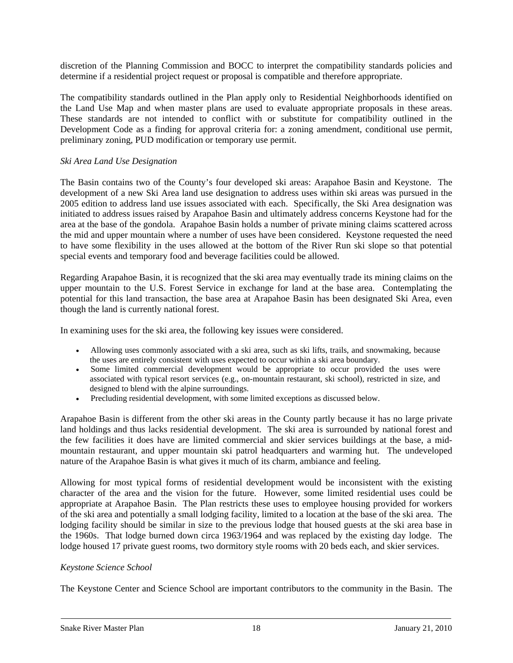discretion of the Planning Commission and BOCC to interpret the compatibility standards policies and determine if a residential project request or proposal is compatible and therefore appropriate.

The compatibility standards outlined in the Plan apply only to Residential Neighborhoods identified on the Land Use Map and when master plans are used to evaluate appropriate proposals in these areas. These standards are not intended to conflict with or substitute for compatibility outlined in the Development Code as a finding for approval criteria for: a zoning amendment, conditional use permit, preliminary zoning, PUD modification or temporary use permit.

## *Ski Area Land Use Designation*

The Basin contains two of the County's four developed ski areas: Arapahoe Basin and Keystone. The development of a new Ski Area land use designation to address uses within ski areas was pursued in the 2005 edition to address land use issues associated with each. Specifically, the Ski Area designation was initiated to address issues raised by Arapahoe Basin and ultimately address concerns Keystone had for the area at the base of the gondola. Arapahoe Basin holds a number of private mining claims scattered across the mid and upper mountain where a number of uses have been considered. Keystone requested the need to have some flexibility in the uses allowed at the bottom of the River Run ski slope so that potential special events and temporary food and beverage facilities could be allowed.

Regarding Arapahoe Basin, it is recognized that the ski area may eventually trade its mining claims on the upper mountain to the U.S. Forest Service in exchange for land at the base area. Contemplating the potential for this land transaction, the base area at Arapahoe Basin has been designated Ski Area, even though the land is currently national forest.

In examining uses for the ski area, the following key issues were considered.

- Allowing uses commonly associated with a ski area, such as ski lifts, trails, and snowmaking, because the uses are entirely consistent with uses expected to occur within a ski area boundary.
- Some limited commercial development would be appropriate to occur provided the uses were associated with typical resort services (e.g., on-mountain restaurant, ski school), restricted in size, and designed to blend with the alpine surroundings.
- Precluding residential development, with some limited exceptions as discussed below.

Arapahoe Basin is different from the other ski areas in the County partly because it has no large private land holdings and thus lacks residential development. The ski area is surrounded by national forest and the few facilities it does have are limited commercial and skier services buildings at the base, a midmountain restaurant, and upper mountain ski patrol headquarters and warming hut. The undeveloped nature of the Arapahoe Basin is what gives it much of its charm, ambiance and feeling.

Allowing for most typical forms of residential development would be inconsistent with the existing character of the area and the vision for the future. However, some limited residential uses could be appropriate at Arapahoe Basin.The Plan restricts these uses to employee housing provided for workers of the ski area and potentially a small lodging facility, limited to a location at the base of the ski area. The lodging facility should be similar in size to the previous lodge that housed guests at the ski area base in the 1960s. That lodge burned down circa 1963/1964 and was replaced by the existing day lodge. The lodge housed 17 private guest rooms, two dormitory style rooms with 20 beds each, and skier services.

#### *Keystone Science School*

The Keystone Center and Science School are important contributors to the community in the Basin. The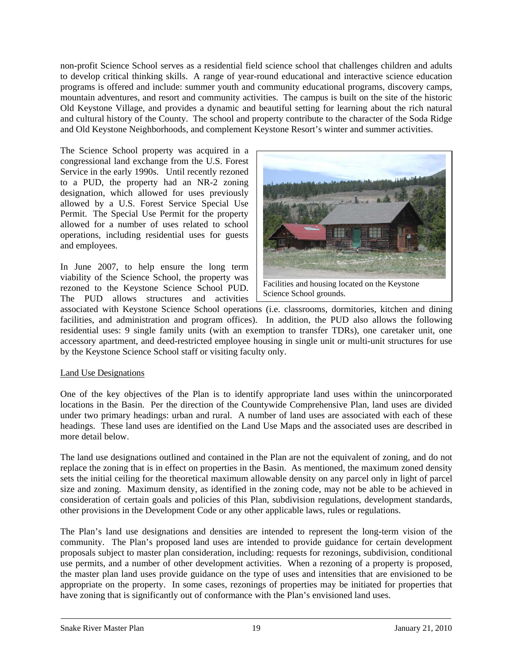non-profit Science School serves as a residential field science school that challenges children and adults to develop critical thinking skills. A range of year-round educational and interactive science education programs is offered and include: summer youth and community educational programs, discovery camps, mountain adventures, and resort and community activities. The campus is built on the site of the historic Old Keystone Village, and provides a dynamic and beautiful setting for learning about the rich natural and cultural history of the County. The school and property contribute to the character of the Soda Ridge and Old Keystone Neighborhoods, and complement Keystone Resort's winter and summer activities.

The Science School property was acquired in a congressional land exchange from the U.S. Forest Service in the early 1990s. Until recently rezoned to a PUD, the property had an NR-2 zoning designation, which allowed for uses previously allowed by a U.S. Forest Service Special Use Permit. The Special Use Permit for the property allowed for a number of uses related to school operations, including residential uses for guests and employees.

In June 2007, to help ensure the long term viability of the Science School, the property was rezoned to the Keystone Science School PUD. The PUD allows structures and activities



Science School grounds.

associated with Keystone Science School operations (i.e. classrooms, dormitories, kitchen and dining facilities, and administration and program offices). In addition, the PUD also allows the following residential uses: 9 single family units (with an exemption to transfer TDRs), one caretaker unit, one accessory apartment, and deed-restricted employee housing in single unit or multi-unit structures for use by the Keystone Science School staff or visiting faculty only.

## Land Use Designations

One of the key objectives of the Plan is to identify appropriate land uses within the unincorporated locations in the Basin. Per the direction of the Countywide Comprehensive Plan, land uses are divided under two primary headings: urban and rural. A number of land uses are associated with each of these headings. These land uses are identified on the Land Use Maps and the associated uses are described in more detail below.

The land use designations outlined and contained in the Plan are not the equivalent of zoning, and do not replace the zoning that is in effect on properties in the Basin. As mentioned, the maximum zoned density sets the initial ceiling for the theoretical maximum allowable density on any parcel only in light of parcel size and zoning. Maximum density, as identified in the zoning code, may not be able to be achieved in consideration of certain goals and policies of this Plan, subdivision regulations, development standards, other provisions in the Development Code or any other applicable laws, rules or regulations.

The Plan's land use designations and densities are intended to represent the long-term vision of the community. The Plan's proposed land uses are intended to provide guidance for certain development proposals subject to master plan consideration, including: requests for rezonings, subdivision, conditional use permits, and a number of other development activities. When a rezoning of a property is proposed, the master plan land uses provide guidance on the type of uses and intensities that are envisioned to be appropriate on the property. In some cases, rezonings of properties may be initiated for properties that have zoning that is significantly out of conformance with the Plan's envisioned land uses.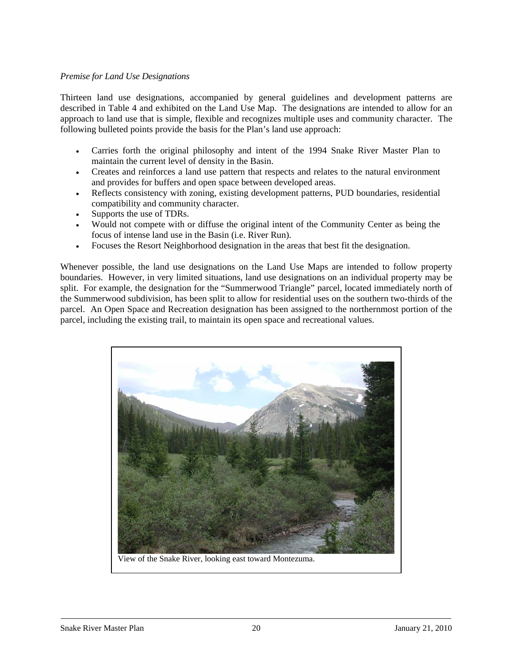## *Premise for Land Use Designations*

Thirteen land use designations, accompanied by general guidelines and development patterns are described in Table 4 and exhibited on the Land Use Map. The designations are intended to allow for an approach to land use that is simple, flexible and recognizes multiple uses and community character. The following bulleted points provide the basis for the Plan's land use approach:

- Carries forth the original philosophy and intent of the 1994 Snake River Master Plan to maintain the current level of density in the Basin.
- Creates and reinforces a land use pattern that respects and relates to the natural environment and provides for buffers and open space between developed areas.
- Reflects consistency with zoning, existing development patterns, PUD boundaries, residential compatibility and community character.
- Supports the use of TDRs.
- Would not compete with or diffuse the original intent of the Community Center as being the focus of intense land use in the Basin (i.e. River Run).
- Focuses the Resort Neighborhood designation in the areas that best fit the designation.

Whenever possible, the land use designations on the Land Use Maps are intended to follow property boundaries. However, in very limited situations, land use designations on an individual property may be split. For example, the designation for the "Summerwood Triangle" parcel, located immediately north of the Summerwood subdivision, has been split to allow for residential uses on the southern two-thirds of the parcel. An Open Space and Recreation designation has been assigned to the northernmost portion of the parcel, including the existing trail, to maintain its open space and recreational values.

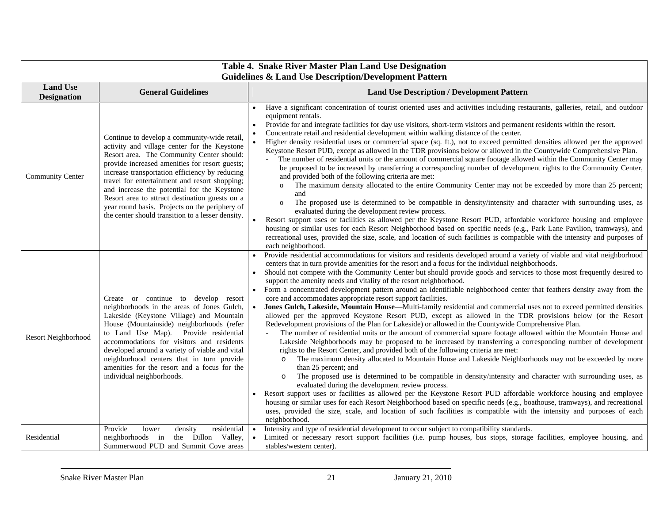| Table 4. Snake River Master Plan Land Use Designation<br><b>Guidelines &amp; Land Use Description/Development Pattern</b> |                                                                                                                                                                                                                                                                                                                                                                                                                                                                                                        |                                                                                                                                                                                                                                                                                                                                                                                                                                                                                                                                                                                                                                                                                                                                                                                                                                                                                                                                                                                                                                                                                                                                                                                                                                                                                                                                                                                                                                                                                                                                                                                                                                                                                                                                                                                                                                                                                                                                                                                                                             |  |  |
|---------------------------------------------------------------------------------------------------------------------------|--------------------------------------------------------------------------------------------------------------------------------------------------------------------------------------------------------------------------------------------------------------------------------------------------------------------------------------------------------------------------------------------------------------------------------------------------------------------------------------------------------|-----------------------------------------------------------------------------------------------------------------------------------------------------------------------------------------------------------------------------------------------------------------------------------------------------------------------------------------------------------------------------------------------------------------------------------------------------------------------------------------------------------------------------------------------------------------------------------------------------------------------------------------------------------------------------------------------------------------------------------------------------------------------------------------------------------------------------------------------------------------------------------------------------------------------------------------------------------------------------------------------------------------------------------------------------------------------------------------------------------------------------------------------------------------------------------------------------------------------------------------------------------------------------------------------------------------------------------------------------------------------------------------------------------------------------------------------------------------------------------------------------------------------------------------------------------------------------------------------------------------------------------------------------------------------------------------------------------------------------------------------------------------------------------------------------------------------------------------------------------------------------------------------------------------------------------------------------------------------------------------------------------------------------|--|--|
| <b>Land Use</b><br><b>Designation</b>                                                                                     | <b>General Guidelines</b>                                                                                                                                                                                                                                                                                                                                                                                                                                                                              | <b>Land Use Description / Development Pattern</b>                                                                                                                                                                                                                                                                                                                                                                                                                                                                                                                                                                                                                                                                                                                                                                                                                                                                                                                                                                                                                                                                                                                                                                                                                                                                                                                                                                                                                                                                                                                                                                                                                                                                                                                                                                                                                                                                                                                                                                           |  |  |
| <b>Community Center</b>                                                                                                   | Continue to develop a community-wide retail,<br>activity and village center for the Keystone<br>Resort area. The Community Center should:<br>provide increased amenities for resort guests;<br>increase transportation efficiency by reducing<br>travel for entertainment and resort shopping;<br>and increase the potential for the Keystone<br>Resort area to attract destination guests on a<br>year round basis. Projects on the periphery of<br>the center should transition to a lesser density. | Have a significant concentration of tourist oriented uses and activities including restaurants, galleries, retail, and outdoor<br>equipment rentals.<br>Provide for and integrate facilities for day use visitors, short-term visitors and permanent residents within the resort.<br>Concentrate retail and residential development within walking distance of the center.<br>Higher density residential uses or commercial space (sq. ft.), not to exceed permitted densities allowed per the approved<br>Keystone Resort PUD, except as allowed in the TDR provisions below or allowed in the Countywide Comprehensive Plan.<br>The number of residential units or the amount of commercial square footage allowed within the Community Center may<br>be proposed to be increased by transferring a corresponding number of development rights to the Community Center,<br>and provided both of the following criteria are met:<br>The maximum density allocated to the entire Community Center may not be exceeded by more than 25 percent;<br>$\mathbf{O}$<br>and<br>The proposed use is determined to be compatible in density/intensity and character with surrounding uses, as<br>$\mathbf{o}$<br>evaluated during the development review process.<br>Resort support uses or facilities as allowed per the Keystone Resort PUD, affordable workforce housing and employee<br>housing or similar uses for each Resort Neighborhood based on specific needs (e.g., Park Lane Pavilion, tramways), and<br>recreational uses, provided the size, scale, and location of such facilities is compatible with the intensity and purposes of<br>each neighborhood.                                                                                                                                                                                                                                                                                                                                                           |  |  |
| Resort Neighborhood                                                                                                       | Create or continue to develop resort<br>neighborhoods in the areas of Jones Gulch,<br>Lakeside (Keystone Village) and Mountain<br>House (Mountainside) neighborhoods (refer<br>to Land Use Map). Provide residential<br>accommodations for visitors and residents<br>developed around a variety of viable and vital<br>neighborhood centers that in turn provide<br>amenities for the resort and a focus for the<br>individual neighborhoods.                                                          | Provide residential accommodations for visitors and residents developed around a variety of viable and vital neighborhood<br>centers that in turn provide amenities for the resort and a focus for the individual neighborhoods.<br>Should not compete with the Community Center but should provide goods and services to those most frequently desired to<br>support the amenity needs and vitality of the resort neighborhood.<br>Form a concentrated development pattern around an identifiable neighborhood center that feathers density away from the<br>core and accommodates appropriate resort support facilities.<br>Jones Gulch, Lakeside, Mountain House—Multi-family residential and commercial uses not to exceed permitted densities<br>allowed per the approved Keystone Resort PUD, except as allowed in the TDR provisions below (or the Resort<br>Redevelopment provisions of the Plan for Lakeside) or allowed in the Countywide Comprehensive Plan.<br>The number of residential units or the amount of commercial square footage allowed within the Mountain House and<br>$\equiv$<br>Lakeside Neighborhoods may be proposed to be increased by transferring a corresponding number of development<br>rights to the Resort Center, and provided both of the following criteria are met:<br>The maximum density allocated to Mountain House and Lakeside Neighborhoods may not be exceeded by more<br>$\circ$<br>than 25 percent; and<br>The proposed use is determined to be compatible in density/intensity and character with surrounding uses, as<br>evaluated during the development review process.<br>Resort support uses or facilities as allowed per the Keystone Resort PUD affordable workforce housing and employee<br>housing or similar uses for each Resort Neighborhood based on specific needs (e.g., boathouse, tramways), and recreational<br>uses, provided the size, scale, and location of such facilities is compatible with the intensity and purposes of each<br>neighborhood. |  |  |
| Residential                                                                                                               | Provide<br>lower<br>density<br>residential<br>the Dillon Valley,<br>neighborhoods in<br>Summerwood PUD and Summit Cove areas                                                                                                                                                                                                                                                                                                                                                                           | Intensity and type of residential development to occur subject to compatibility standards.<br>Limited or necessary resort support facilities (i.e. pump houses, bus stops, storage facilities, employee housing, and<br>stables/western center).                                                                                                                                                                                                                                                                                                                                                                                                                                                                                                                                                                                                                                                                                                                                                                                                                                                                                                                                                                                                                                                                                                                                                                                                                                                                                                                                                                                                                                                                                                                                                                                                                                                                                                                                                                            |  |  |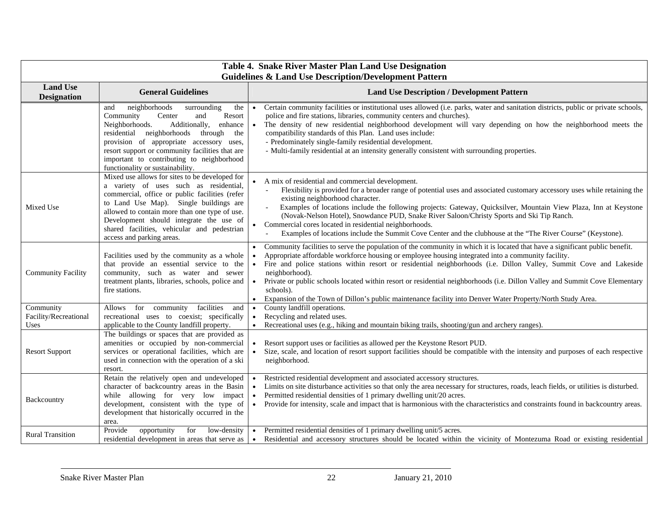| Table 4. Snake River Master Plan Land Use Designation<br><b>Guidelines &amp; Land Use Description/Development Pattern</b> |                                                                                                                                                                                                                                                                                                                                                                 |                                                                                                                                                                                                                                                                                                                                                                                                                                                                                                                                                                                                                                                               |  |  |
|---------------------------------------------------------------------------------------------------------------------------|-----------------------------------------------------------------------------------------------------------------------------------------------------------------------------------------------------------------------------------------------------------------------------------------------------------------------------------------------------------------|---------------------------------------------------------------------------------------------------------------------------------------------------------------------------------------------------------------------------------------------------------------------------------------------------------------------------------------------------------------------------------------------------------------------------------------------------------------------------------------------------------------------------------------------------------------------------------------------------------------------------------------------------------------|--|--|
| <b>Land Use</b><br><b>Designation</b>                                                                                     | <b>General Guidelines</b>                                                                                                                                                                                                                                                                                                                                       | <b>Land Use Description / Development Pattern</b>                                                                                                                                                                                                                                                                                                                                                                                                                                                                                                                                                                                                             |  |  |
|                                                                                                                           | neighborhoods<br>surrounding<br>the<br>and<br>Resort<br>Community<br>Center<br>and<br>Neighborhoods.<br>Additionally,<br>enhance<br>residential neighborhoods<br>through<br>the<br>provision of appropriate accessory uses,<br>resort support or community facilities that are<br>important to contributing to neighborhood<br>functionality or sustainability. | Certain community facilities or institutional uses allowed (i.e. parks, water and sanitation districts, public or private schools,<br>police and fire stations, libraries, community centers and churches).<br>The density of new residential neighborhood development will vary depending on how the neighborhood meets the<br>compatibility standards of this Plan. Land uses include:<br>- Predominately single-family residential development.<br>- Multi-family residential at an intensity generally consistent with surrounding properties.                                                                                                            |  |  |
| Mixed Use                                                                                                                 | Mixed use allows for sites to be developed for<br>a variety of uses such as residential,<br>commercial, office or public facilities (refer<br>to Land Use Map). Single buildings are<br>allowed to contain more than one type of use.<br>Development should integrate the use of<br>shared facilities, vehicular and pedestrian<br>access and parking areas.    | A mix of residential and commercial development.<br>Flexibility is provided for a broader range of potential uses and associated customary accessory uses while retaining the<br>existing neighborhood character.<br>Examples of locations include the following projects: Gateway, Quicksilver, Mountain View Plaza, Inn at Keystone<br>(Novak-Nelson Hotel), Snowdance PUD, Snake River Saloon/Christy Sports and Ski Tip Ranch.<br>• Commercial cores located in residential neighborhoods.<br>Examples of locations include the Summit Cove Center and the clubhouse at the "The River Course" (Keystone).                                                |  |  |
| <b>Community Facility</b>                                                                                                 | Facilities used by the community as a whole<br>that provide an essential service to the<br>community, such as water and sewer<br>treatment plants, libraries, schools, police and<br>fire stations.                                                                                                                                                             | Community facilities to serve the population of the community in which it is located that have a significant public benefit.<br>$\bullet$<br>Appropriate affordable workforce housing or employee housing integrated into a community facility.<br>Fire and police stations within resort or residential neighborhoods (i.e. Dillon Valley, Summit Cove and Lakeside<br>$\bullet$<br>neighborhood).<br>Private or public schools located within resort or residential neighborhoods (i.e. Dillon Valley and Summit Cove Elementary<br>schools).<br>Expansion of the Town of Dillon's public maintenance facility into Denver Water Property/North Study Area. |  |  |
| Community<br>Facility/Recreational<br>Uses                                                                                | Allows for community<br>facilities<br>and<br>recreational uses to coexist; specifically<br>applicable to the County landfill property.                                                                                                                                                                                                                          | County landfill operations.<br>$\bullet$<br>Recycling and related uses.<br>Recreational uses (e.g., hiking and mountain biking trails, shooting/gun and archery ranges).<br>$\bullet$                                                                                                                                                                                                                                                                                                                                                                                                                                                                         |  |  |
| <b>Resort Support</b>                                                                                                     | The buildings or spaces that are provided as<br>amenities or occupied by non-commercial<br>services or operational facilities, which are<br>used in connection with the operation of a ski<br>resort.                                                                                                                                                           | Resort support uses or facilities as allowed per the Keystone Resort PUD.<br>Size, scale, and location of resort support facilities should be compatible with the intensity and purposes of each respective<br>neighborhood.                                                                                                                                                                                                                                                                                                                                                                                                                                  |  |  |
| Backcountry                                                                                                               | Retain the relatively open and undeveloped<br>character of backcountry areas in the Basin<br>while allowing for very low impact<br>development, consistent with the type of<br>development that historically occurred in the<br>area.                                                                                                                           | Restricted residential development and associated accessory structures.<br>Limits on site disturbance activities so that only the area necessary for structures, roads, leach fields, or utilities is disturbed.<br>Permitted residential densities of 1 primary dwelling unit/20 acres.<br>Provide for intensity, scale and impact that is harmonious with the characteristics and constraints found in backcountry areas.                                                                                                                                                                                                                                   |  |  |
| <b>Rural Transition</b>                                                                                                   | for<br>Provide<br>opportunity<br>low-density<br>residential development in areas that serve as                                                                                                                                                                                                                                                                  | Permitted residential densities of 1 primary dwelling unit/5 acres.<br>Residential and accessory structures should be located within the vicinity of Montezuma Road or existing residential                                                                                                                                                                                                                                                                                                                                                                                                                                                                   |  |  |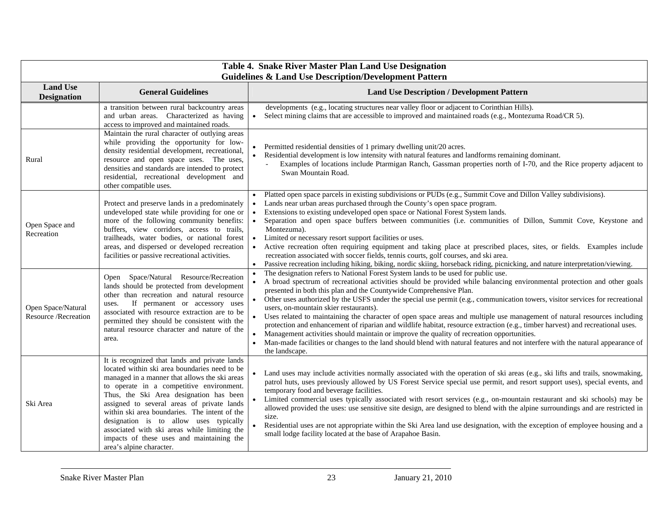| Table 4. Snake River Master Plan Land Use Designation<br><b>Guidelines &amp; Land Use Description/Development Pattern</b> |                                                                                                                                                                                                                                                                                                                                                                                                                                                                                                          |                                                                                                                                                                                                                                                                                                                                                                                                                                                                                                                                                                                                                                                                                                                                                                                                                                                                                                                                                                                                        |  |  |
|---------------------------------------------------------------------------------------------------------------------------|----------------------------------------------------------------------------------------------------------------------------------------------------------------------------------------------------------------------------------------------------------------------------------------------------------------------------------------------------------------------------------------------------------------------------------------------------------------------------------------------------------|--------------------------------------------------------------------------------------------------------------------------------------------------------------------------------------------------------------------------------------------------------------------------------------------------------------------------------------------------------------------------------------------------------------------------------------------------------------------------------------------------------------------------------------------------------------------------------------------------------------------------------------------------------------------------------------------------------------------------------------------------------------------------------------------------------------------------------------------------------------------------------------------------------------------------------------------------------------------------------------------------------|--|--|
| <b>Land Use</b><br><b>Designation</b>                                                                                     | <b>General Guidelines</b>                                                                                                                                                                                                                                                                                                                                                                                                                                                                                | <b>Land Use Description / Development Pattern</b>                                                                                                                                                                                                                                                                                                                                                                                                                                                                                                                                                                                                                                                                                                                                                                                                                                                                                                                                                      |  |  |
|                                                                                                                           | a transition between rural backcountry areas<br>and urban areas. Characterized as having<br>access to improved and maintained roads.                                                                                                                                                                                                                                                                                                                                                                     | developments (e.g., locating structures near valley floor or adjacent to Corinthian Hills).<br>Select mining claims that are accessible to improved and maintained roads (e.g., Montezuma Road/CR 5).<br>$\bullet$                                                                                                                                                                                                                                                                                                                                                                                                                                                                                                                                                                                                                                                                                                                                                                                     |  |  |
| Rural                                                                                                                     | Maintain the rural character of outlying areas<br>while providing the opportunity for low-<br>density residential development, recreational,<br>resource and open space uses. The uses,<br>densities and standards are intended to protect<br>residential, recreational development and<br>other compatible uses.                                                                                                                                                                                        | Permitted residential densities of 1 primary dwelling unit/20 acres.<br>$\bullet$<br>Residential development is low intensity with natural features and landforms remaining dominant.<br>Examples of locations include Ptarmigan Ranch, Gassman properties north of I-70, and the Rice property adjacent to<br>Swan Mountain Road.                                                                                                                                                                                                                                                                                                                                                                                                                                                                                                                                                                                                                                                                     |  |  |
| Open Space and<br>Recreation                                                                                              | Protect and preserve lands in a predominately<br>undeveloped state while providing for one or<br>more of the following community benefits:<br>buffers, view corridors, access to trails,<br>trailheads, water bodies, or national forest<br>areas, and dispersed or developed recreation<br>facilities or passive recreational activities.                                                                                                                                                               | Platted open space parcels in existing subdivisions or PUDs (e.g., Summit Cove and Dillon Valley subdivisions).<br>Lands near urban areas purchased through the County's open space program.<br>Extensions to existing undeveloped open space or National Forest System lands.<br>Separation and open space buffers between communities (i.e. communities of Dillon, Summit Cove, Keystone and<br>$\bullet$<br>Montezuma).<br>Limited or necessary resort support facilities or uses.<br>$\bullet$<br>$\bullet$<br>Active recreation often requiring equipment and taking place at prescribed places, sites, or fields. Examples include<br>recreation associated with soccer fields, tennis courts, golf courses, and ski area.<br>Passive recreation including hiking, biking, nordic skiing, horseback riding, picnicking, and nature interpretation/viewing.                                                                                                                                       |  |  |
| Open Space/Natural<br>Resource /Recreation                                                                                | Open Space/Natural Resource/Recreation<br>lands should be protected from development<br>other than recreation and natural resource<br>If permanent or accessory uses<br>uses.<br>associated with resource extraction are to be<br>permitted they should be consistent with the<br>natural resource character and nature of the<br>area.                                                                                                                                                                  | The designation refers to National Forest System lands to be used for public use.<br>A broad spectrum of recreational activities should be provided while balancing environmental protection and other goals<br>$\bullet$<br>presented in both this plan and the Countywide Comprehensive Plan.<br>Other uses authorized by the USFS under the special use permit (e.g., communication towers, visitor services for recreational<br>$\bullet$<br>users, on-mountain skier restaurants).<br>Uses related to maintaining the character of open space areas and multiple use management of natural resources including<br>protection and enhancement of riparian and wildlife habitat, resource extraction (e.g., timber harvest) and recreational uses.<br>Management activities should maintain or improve the quality of recreation opportunities.<br>Man-made facilities or changes to the land should blend with natural features and not interfere with the natural appearance of<br>the landscape. |  |  |
| Ski Area                                                                                                                  | It is recognized that lands and private lands<br>located within ski area boundaries need to be<br>managed in a manner that allows the ski areas<br>to operate in a competitive environment.<br>Thus, the Ski Area designation has been<br>assigned to several areas of private lands<br>within ski area boundaries. The intent of the<br>designation is to allow uses typically<br>associated with ski areas while limiting the<br>impacts of these uses and maintaining the<br>area's alpine character. | Land uses may include activities normally associated with the operation of ski areas (e.g., ski lifts and trails, snowmaking,<br>patrol huts, uses previously allowed by US Forest Service special use permit, and resort support uses), special events, and<br>temporary food and beverage facilities.<br>Limited commercial uses typically associated with resort services (e.g., on-mountain restaurant and ski schools) may be<br>allowed provided the uses: use sensitive site design, are designed to blend with the alpine surroundings and are restricted in<br>size.<br>Residential uses are not appropriate within the Ski Area land use designation, with the exception of employee housing and a<br>small lodge facility located at the base of Arapahoe Basin.                                                                                                                                                                                                                            |  |  |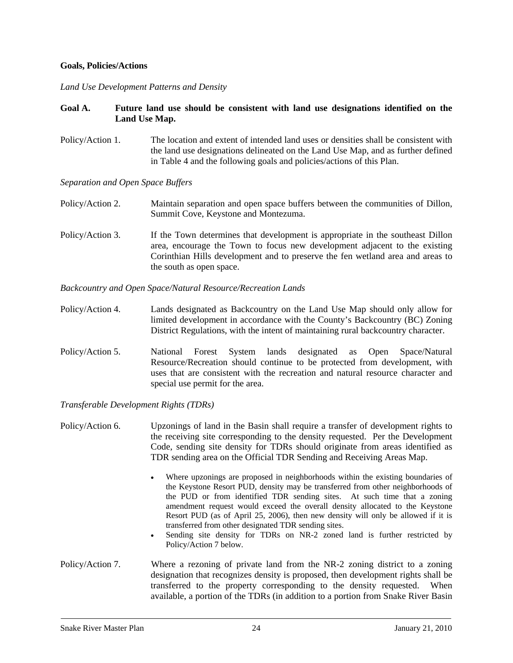#### **Goals, Policies/Actions**

#### *Land Use Development Patterns and Density*

#### **Goal A. Future land use should be consistent with land use designations identified on the Land Use Map.**

Policy/Action 1. The location and extent of intended land uses or densities shall be consistent with the land use designations delineated on the Land Use Map, and as further defined in Table 4 and the following goals and policies/actions of this Plan.

#### *Separation and Open Space Buffers*

- Policy/Action 2. Maintain separation and open space buffers between the communities of Dillon, Summit Cove, Keystone and Montezuma.
- Policy/Action 3. If the Town determines that development is appropriate in the southeast Dillon area, encourage the Town to focus new development adjacent to the existing Corinthian Hills development and to preserve the fen wetland area and areas to the south as open space.

#### *Backcountry and Open Space/Natural Resource/Recreation Lands*

- Policy/Action 4. Lands designated as Backcountry on the Land Use Map should only allow for limited development in accordance with the County's Backcountry (BC) Zoning District Regulations, with the intent of maintaining rural backcountry character.
- Policy/Action 5. National Forest System lands designated as Open Space/Natural Resource/Recreation should continue to be protected from development, with uses that are consistent with the recreation and natural resource character and special use permit for the area.

*Transferable Development Rights (TDRs)* 

- Policy/Action 6. Upzonings of land in the Basin shall require a transfer of development rights to the receiving site corresponding to the density requested. Per the Development Code, sending site density for TDRs should originate from areas identified as TDR sending area on the Official TDR Sending and Receiving Areas Map.
	- Where upzonings are proposed in neighborhoods within the existing boundaries of the Keystone Resort PUD, density may be transferred from other neighborhoods of the PUD or from identified TDR sending sites. At such time that a zoning amendment request would exceed the overall density allocated to the Keystone Resort PUD (as of April 25, 2006), then new density will only be allowed if it is transferred from other designated TDR sending sites.
	- Sending site density for TDRs on NR-2 zoned land is further restricted by Policy/Action 7 below.
- Policy/Action 7. Where a rezoning of private land from the NR-2 zoning district to a zoning designation that recognizes density is proposed, then development rights shall be transferred to the property corresponding to the density requested. When available, a portion of the TDRs (in addition to a portion from Snake River Basin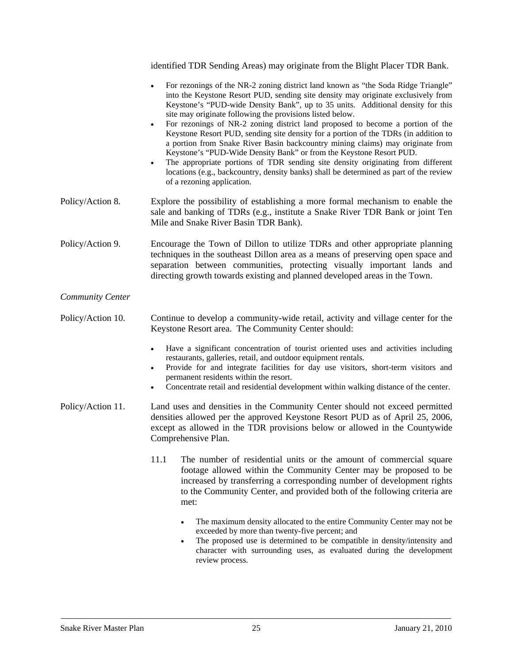identified TDR Sending Areas) may originate from the Blight Placer TDR Bank.

- For rezonings of the NR-2 zoning district land known as "the Soda Ridge Triangle" into the Keystone Resort PUD, sending site density may originate exclusively from Keystone's "PUD-wide Density Bank", up to 35 units. Additional density for this site may originate following the provisions listed below.
- For rezonings of NR-2 zoning district land proposed to become a portion of the Keystone Resort PUD, sending site density for a portion of the TDRs (in addition to a portion from Snake River Basin backcountry mining claims) may originate from Keystone's "PUD-Wide Density Bank" or from the Keystone Resort PUD.
- The appropriate portions of TDR sending site density originating from different locations (e.g., backcountry, density banks) shall be determined as part of the review of a rezoning application.
- Policy/Action 8. Explore the possibility of establishing a more formal mechanism to enable the sale and banking of TDRs (e.g., institute a Snake River TDR Bank or joint Ten Mile and Snake River Basin TDR Bank).
- Policy/Action 9. Encourage the Town of Dillon to utilize TDRs and other appropriate planning techniques in the southeast Dillon area as a means of preserving open space and separation between communities, protecting visually important lands and directing growth towards existing and planned developed areas in the Town.

## *Community Center*

Policy/Action 10. Continue to develop a community-wide retail, activity and village center for the Keystone Resort area. The Community Center should:

- Have a significant concentration of tourist oriented uses and activities including restaurants, galleries, retail, and outdoor equipment rentals.
- Provide for and integrate facilities for day use visitors, short-term visitors and permanent residents within the resort.
- Concentrate retail and residential development within walking distance of the center.
- Policy/Action 11. Land uses and densities in the Community Center should not exceed permitted densities allowed per the approved Keystone Resort PUD as of April 25, 2006, except as allowed in the TDR provisions below or allowed in the Countywide Comprehensive Plan.
	- 11.1 The number of residential units or the amount of commercial square footage allowed within the Community Center may be proposed to be increased by transferring a corresponding number of development rights to the Community Center, and provided both of the following criteria are met:
		- The maximum density allocated to the entire Community Center may not be exceeded by more than twenty-five percent; and
		- The proposed use is determined to be compatible in density/intensity and character with surrounding uses, as evaluated during the development review process.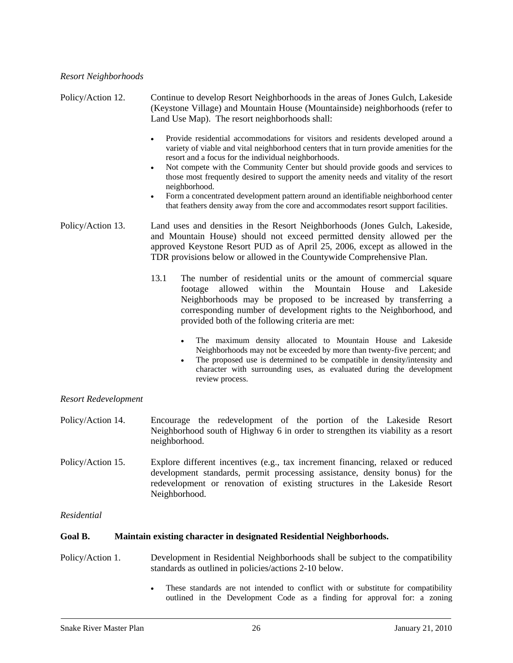Policy/Action 12. Continue to develop Resort Neighborhoods in the areas of Jones Gulch, Lakeside (Keystone Village) and Mountain House (Mountainside) neighborhoods (refer to Land Use Map). The resort neighborhoods shall: • Provide residential accommodations for visitors and residents developed around a variety of viable and vital neighborhood centers that in turn provide amenities for the resort and a focus for the individual neighborhoods. • Not compete with the Community Center but should provide goods and services to those most frequently desired to support the amenity needs and vitality of the resort neighborhood. • Form a concentrated development pattern around an identifiable neighborhood center that feathers density away from the core and accommodates resort support facilities. Policy/Action 13. Land uses and densities in the Resort Neighborhoods (Jones Gulch, Lakeside, and Mountain House) should not exceed permitted density allowed per the approved Keystone Resort PUD as of April 25, 2006, except as allowed in the TDR provisions below or allowed in the Countywide Comprehensive Plan. 13.1 The number of residential units or the amount of commercial square footage allowed within the Mountain House and Lakeside Neighborhoods may be proposed to be increased by transferring a corresponding number of development rights to the Neighborhood, and provided both of the following criteria are met: • The maximum density allocated to Mountain House and Lakeside Neighborhoods may not be exceeded by more than twenty-five percent; and The proposed use is determined to be compatible in density/intensity and character with surrounding uses, as evaluated during the development review process.

## *Resort Redevelopment*

- Policy/Action 14. Encourage the redevelopment of the portion of the Lakeside Resort Neighborhood south of Highway 6 in order to strengthen its viability as a resort neighborhood.
- Policy/Action 15. Explore different incentives (e.g., tax increment financing, relaxed or reduced development standards, permit processing assistance, density bonus) for the redevelopment or renovation of existing structures in the Lakeside Resort Neighborhood.

## *Residential*

## **Goal B. Maintain existing character in designated Residential Neighborhoods.**

- Policy/Action 1. Development in Residential Neighborhoods shall be subject to the compatibility standards as outlined in policies/actions 2-10 below.
	- These standards are not intended to conflict with or substitute for compatibility outlined in the Development Code as a finding for approval for: a zoning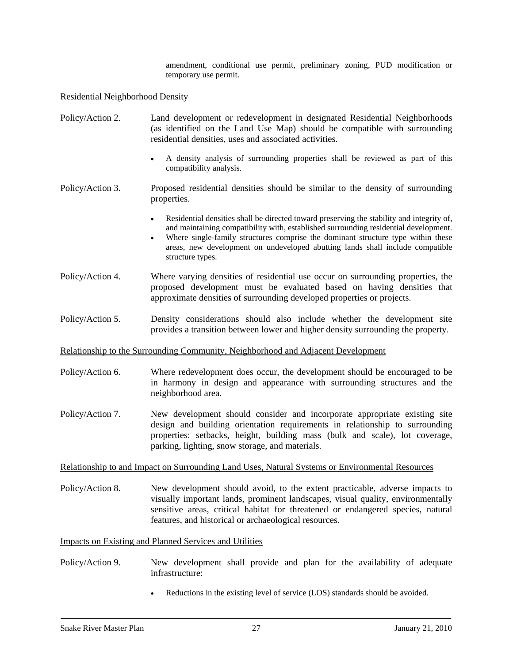amendment, conditional use permit, preliminary zoning, PUD modification or temporary use permit.

#### Residential Neighborhood Density

- Policy/Action 2. Land development or redevelopment in designated Residential Neighborhoods (as identified on the Land Use Map) should be compatible with surrounding residential densities, uses and associated activities.
	- A density analysis of surrounding properties shall be reviewed as part of this compatibility analysis.
- Policy/Action 3. Proposed residential densities should be similar to the density of surrounding properties.
	- Residential densities shall be directed toward preserving the stability and integrity of, and maintaining compatibility with, established surrounding residential development.
	- Where single-family structures comprise the dominant structure type within these areas, new development on undeveloped abutting lands shall include compatible structure types.
- Policy/Action 4. Where varying densities of residential use occur on surrounding properties, the proposed development must be evaluated based on having densities that approximate densities of surrounding developed properties or projects.
- Policy/Action 5. Density considerations should also include whether the development site provides a transition between lower and higher density surrounding the property.

#### Relationship to the Surrounding Community, Neighborhood and Adjacent Development

- Policy/Action 6. Where redevelopment does occur, the development should be encouraged to be in harmony in design and appearance with surrounding structures and the neighborhood area.
- Policy/Action 7. New development should consider and incorporate appropriate existing site design and building orientation requirements in relationship to surrounding properties: setbacks, height, building mass (bulk and scale), lot coverage, parking, lighting, snow storage, and materials.

#### Relationship to and Impact on Surrounding Land Uses, Natural Systems or Environmental Resources

Policy/Action 8. New development should avoid, to the extent practicable, adverse impacts to visually important lands, prominent landscapes, visual quality, environmentally sensitive areas, critical habitat for threatened or endangered species, natural features, and historical or archaeological resources.

#### Impacts on Existing and Planned Services and Utilities

- Policy/Action 9. New development shall provide and plan for the availability of adequate infrastructure:
	- Reductions in the existing level of service (LOS) standards should be avoided.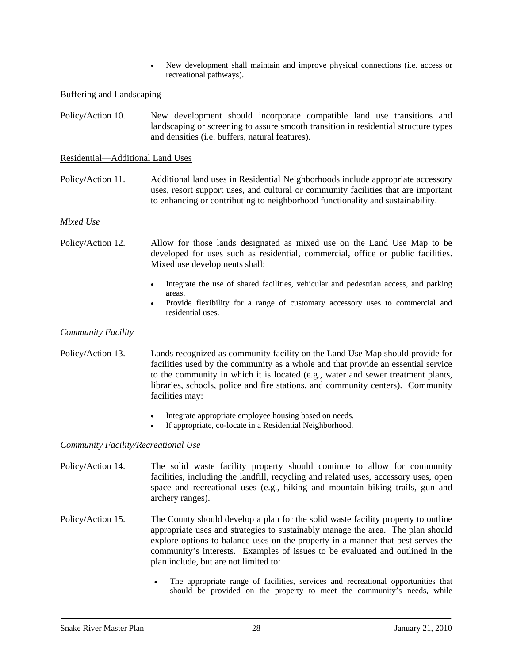• New development shall maintain and improve physical connections (i.e. access or recreational pathways).

#### Buffering and Landscaping

Policy/Action 10. New development should incorporate compatible land use transitions and landscaping or screening to assure smooth transition in residential structure types and densities (i.e. buffers, natural features).

#### Residential—Additional Land Uses

Policy/Action 11. Additional land uses in Residential Neighborhoods include appropriate accessory uses, resort support uses, and cultural or community facilities that are important to enhancing or contributing to neighborhood functionality and sustainability.

#### *Mixed Use*

- Policy/Action 12. Allow for those lands designated as mixed use on the Land Use Map to be developed for uses such as residential, commercial, office or public facilities. Mixed use developments shall:
	- Integrate the use of shared facilities, vehicular and pedestrian access, and parking areas.
	- Provide flexibility for a range of customary accessory uses to commercial and residential uses.

#### *Community Facility*

- Policy/Action 13. Lands recognized as community facility on the Land Use Map should provide for facilities used by the community as a whole and that provide an essential service to the community in which it is located (e.g., water and sewer treatment plants, libraries, schools, police and fire stations, and community centers). Community facilities may:
	- Integrate appropriate employee housing based on needs.
	- If appropriate, co-locate in a Residential Neighborhood.

#### *Community Facility/Recreational Use*

- Policy/Action 14. The solid waste facility property should continue to allow for community facilities, including the landfill, recycling and related uses, accessory uses, open space and recreational uses (e.g., hiking and mountain biking trails, gun and archery ranges).
- Policy/Action 15. The County should develop a plan for the solid waste facility property to outline appropriate uses and strategies to sustainably manage the area. The plan should explore options to balance uses on the property in a manner that best serves the community's interests. Examples of issues to be evaluated and outlined in the plan include, but are not limited to:
	- The appropriate range of facilities, services and recreational opportunities that should be provided on the property to meet the community's needs, while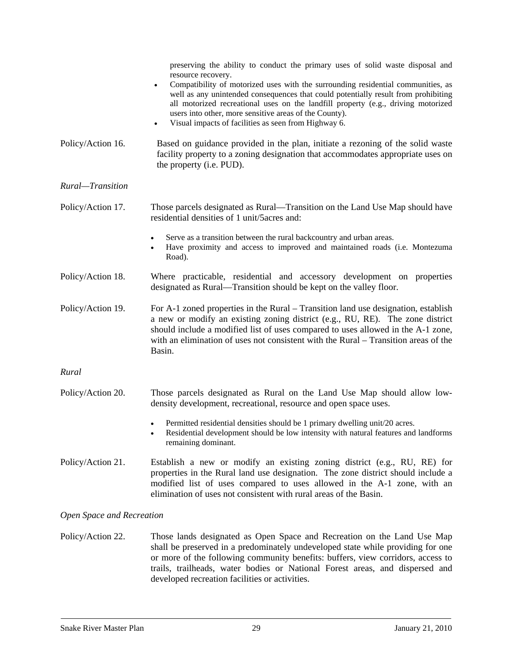|                           | preserving the ability to conduct the primary uses of solid waste disposal and<br>resource recovery.                                                                                                                                                                                                                                                                                       |
|---------------------------|--------------------------------------------------------------------------------------------------------------------------------------------------------------------------------------------------------------------------------------------------------------------------------------------------------------------------------------------------------------------------------------------|
|                           | Compatibility of motorized uses with the surrounding residential communities, as<br>well as any unintended consequences that could potentially result from prohibiting<br>all motorized recreational uses on the landfill property (e.g., driving motorized<br>users into other, more sensitive areas of the County).<br>Visual impacts of facilities as seen from Highway 6.<br>$\bullet$ |
| Policy/Action 16.         | Based on guidance provided in the plan, initiate a rezoning of the solid waste<br>facility property to a zoning designation that accommodates appropriate uses on<br>the property (i.e. PUD).                                                                                                                                                                                              |
| Rural-Transition          |                                                                                                                                                                                                                                                                                                                                                                                            |
| Policy/Action 17.         | Those parcels designated as Rural—Transition on the Land Use Map should have<br>residential densities of 1 unit/5 acres and:                                                                                                                                                                                                                                                               |
|                           | Serve as a transition between the rural backcountry and urban areas.<br>Have proximity and access to improved and maintained roads (i.e. Montezuma<br>Road).                                                                                                                                                                                                                               |
| Policy/Action 18.         | Where practicable, residential and accessory development on properties<br>designated as Rural—Transition should be kept on the valley floor.                                                                                                                                                                                                                                               |
| Policy/Action 19.         | For A-1 zoned properties in the Rural – Transition land use designation, establish<br>a new or modify an existing zoning district (e.g., RU, RE). The zone district<br>should include a modified list of uses compared to uses allowed in the A-1 zone,<br>with an elimination of uses not consistent with the Rural – Transition areas of the<br>Basin.                                   |
| Rural                     |                                                                                                                                                                                                                                                                                                                                                                                            |
| Policy/Action 20.         | Those parcels designated as Rural on the Land Use Map should allow low-<br>density development, recreational, resource and open space uses.                                                                                                                                                                                                                                                |
|                           | Permitted residential densities should be 1 primary dwelling unit/20 acres.<br>$\bullet$<br>Residential development should be low intensity with natural features and landforms<br>remaining dominant.                                                                                                                                                                                     |
| Policy/Action 21.         | Establish a new or modify an existing zoning district (e.g., RU, RE) for<br>properties in the Rural land use designation. The zone district should include a<br>modified list of uses compared to uses allowed in the A-1 zone, with an<br>elimination of uses not consistent with rural areas of the Basin.                                                                               |
| Open Space and Recreation |                                                                                                                                                                                                                                                                                                                                                                                            |

Policy/Action 22. Those lands designated as Open Space and Recreation on the Land Use Map shall be preserved in a predominately undeveloped state while providing for one or more of the following community benefits: buffers, view corridors, access to trails, trailheads, water bodies or National Forest areas, and dispersed and developed recreation facilities or activities.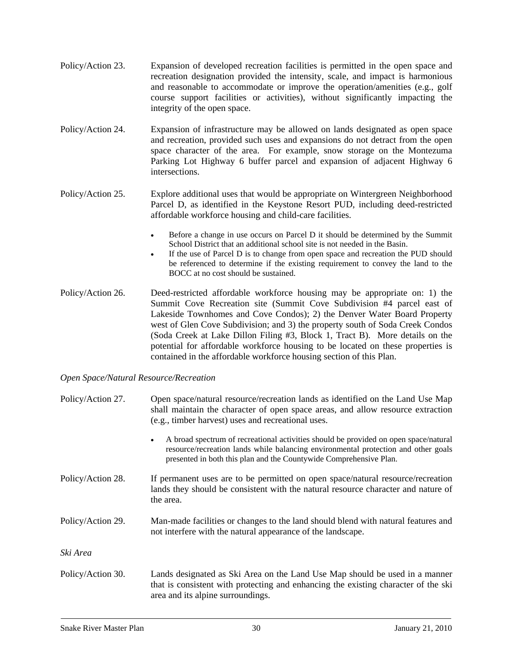- Policy/Action 23. Expansion of developed recreation facilities is permitted in the open space and recreation designation provided the intensity, scale, and impact is harmonious and reasonable to accommodate or improve the operation/amenities (e.g., golf course support facilities or activities), without significantly impacting the integrity of the open space.
- Policy/Action 24. Expansion of infrastructure may be allowed on lands designated as open space and recreation, provided such uses and expansions do not detract from the open space character of the area. For example, snow storage on the Montezuma Parking Lot Highway 6 buffer parcel and expansion of adjacent Highway 6 intersections.

Policy/Action 25. Explore additional uses that would be appropriate on Wintergreen Neighborhood Parcel D, as identified in the Keystone Resort PUD, including deed-restricted affordable workforce housing and child-care facilities.

- Before a change in use occurs on Parcel D it should be determined by the Summit School District that an additional school site is not needed in the Basin.
- If the use of Parcel D is to change from open space and recreation the PUD should be referenced to determine if the existing requirement to convey the land to the BOCC at no cost should be sustained.
- Policy/Action 26. Deed-restricted affordable workforce housing may be appropriate on: 1) the Summit Cove Recreation site (Summit Cove Subdivision #4 parcel east of Lakeside Townhomes and Cove Condos); 2) the Denver Water Board Property west of Glen Cove Subdivision; and 3) the property south of Soda Creek Condos (Soda Creek at Lake Dillon Filing #3, Block 1, Tract B). More details on the potential for affordable workforce housing to be located on these properties is contained in the affordable workforce housing section of this Plan.

#### *Open Space/Natural Resource/Recreation*

| Policy/Action 27. | Open space/natural resource/recreation lands as identified on the Land Use Map<br>shall maintain the character of open space areas, and allow resource extraction<br>(e.g., timber harvest) uses and recreational uses.                                       |
|-------------------|---------------------------------------------------------------------------------------------------------------------------------------------------------------------------------------------------------------------------------------------------------------|
|                   | A broad spectrum of recreational activities should be provided on open space/natural<br>$\bullet$<br>resource/recreation lands while balancing environmental protection and other goals<br>presented in both this plan and the Countywide Comprehensive Plan. |
| Policy/Action 28. | If permanent uses are to be permitted on open space/natural resource/recreation<br>lands they should be consistent with the natural resource character and nature of<br>the area.                                                                             |
| Policy/Action 29. | Man-made facilities or changes to the land should blend with natural features and<br>not interfere with the natural appearance of the landscape.                                                                                                              |
| Ski Area          |                                                                                                                                                                                                                                                               |
| Policy/Action 30. | Lands designated as Ski Area on the Land Use Map should be used in a manner<br>that is consistent with protecting and enhancing the existing character of the ski<br>area and its alpine surroundings.                                                        |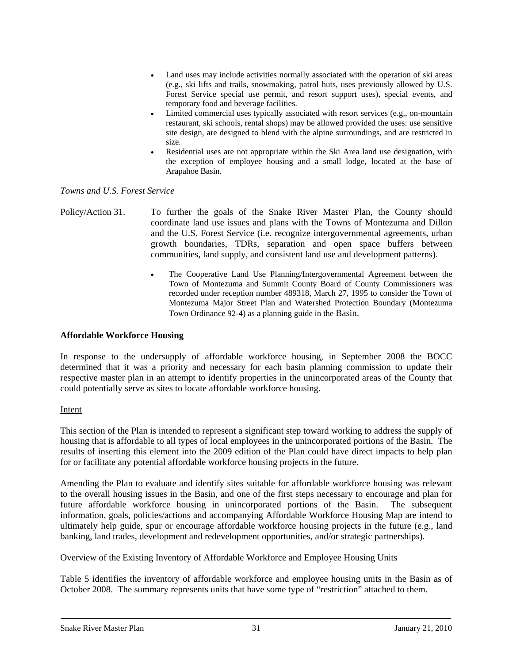- Land uses may include activities normally associated with the operation of ski areas (e.g., ski lifts and trails, snowmaking, patrol huts, uses previously allowed by U.S. Forest Service special use permit, and resort support uses), special events, and temporary food and beverage facilities.
- Limited commercial uses typically associated with resort services (e.g., on-mountain restaurant, ski schools, rental shops) may be allowed provided the uses: use sensitive site design, are designed to blend with the alpine surroundings, and are restricted in size.
- Residential uses are not appropriate within the Ski Area land use designation, with the exception of employee housing and a small lodge, located at the base of Arapahoe Basin.

## *Towns and U.S. Forest Service*

- Policy/Action 31. To further the goals of the Snake River Master Plan, the County should coordinate land use issues and plans with the Towns of Montezuma and Dillon and the U.S. Forest Service (i.e. recognize intergovernmental agreements, urban growth boundaries, TDRs, separation and open space buffers between communities, land supply, and consistent land use and development patterns).
	- The Cooperative Land Use Planning/Intergovernmental Agreement between the Town of Montezuma and Summit County Board of County Commissioners was recorded under reception number 489318, March 27, 1995 to consider the Town of Montezuma Major Street Plan and Watershed Protection Boundary (Montezuma Town Ordinance 92-4) as a planning guide in the Basin.

#### **Affordable Workforce Housing**

In response to the undersupply of affordable workforce housing, in September 2008 the BOCC determined that it was a priority and necessary for each basin planning commission to update their respective master plan in an attempt to identify properties in the unincorporated areas of the County that could potentially serve as sites to locate affordable workforce housing.

#### Intent

This section of the Plan is intended to represent a significant step toward working to address the supply of housing that is affordable to all types of local employees in the unincorporated portions of the Basin. The results of inserting this element into the 2009 edition of the Plan could have direct impacts to help plan for or facilitate any potential affordable workforce housing projects in the future.

Amending the Plan to evaluate and identify sites suitable for affordable workforce housing was relevant to the overall housing issues in the Basin, and one of the first steps necessary to encourage and plan for future affordable workforce housing in unincorporated portions of the Basin. The subsequent information, goals, policies/actions and accompanying Affordable Workforce Housing Map are intend to ultimately help guide, spur or encourage affordable workforce housing projects in the future (e.g., land banking, land trades, development and redevelopment opportunities, and/or strategic partnerships).

#### Overview of the Existing Inventory of Affordable Workforce and Employee Housing Units

Table 5 identifies the inventory of affordable workforce and employee housing units in the Basin as of October 2008. The summary represents units that have some type of "restriction" attached to them.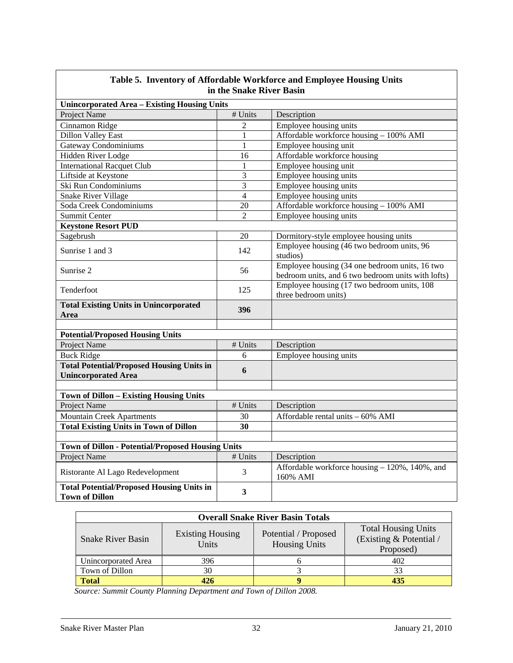| in the Shake River Basin                                                       |                         |                                                                                                      |  |  |  |
|--------------------------------------------------------------------------------|-------------------------|------------------------------------------------------------------------------------------------------|--|--|--|
| <b>Unincorporated Area - Existing Housing Units</b>                            |                         |                                                                                                      |  |  |  |
| Project Name                                                                   | # Units                 | Description                                                                                          |  |  |  |
| Cinnamon Ridge                                                                 | $\overline{c}$          | Employee housing units                                                                               |  |  |  |
| <b>Dillon Valley East</b>                                                      | 1                       | Affordable workforce housing - 100% AMI                                                              |  |  |  |
| <b>Gateway Condominiums</b>                                                    | $\mathbf{1}$            | Employee housing unit                                                                                |  |  |  |
| <b>Hidden River Lodge</b>                                                      | $\overline{16}$         | Affordable workforce housing                                                                         |  |  |  |
| <b>International Racquet Club</b>                                              | $\mathbf{1}$            | Employee housing unit                                                                                |  |  |  |
| Liftside at Keystone                                                           | 3                       | Employee housing units                                                                               |  |  |  |
| Ski Run Condominiums                                                           | $\overline{\mathbf{3}}$ | Employee housing units                                                                               |  |  |  |
| <b>Snake River Village</b>                                                     | $\overline{4}$          | Employee housing units                                                                               |  |  |  |
| Soda Creek Condominiums                                                        | 20                      | Affordable workforce housing - 100% AMI                                                              |  |  |  |
| <b>Summit Center</b>                                                           | $\overline{2}$          | Employee housing units                                                                               |  |  |  |
| <b>Keystone Resort PUD</b>                                                     |                         |                                                                                                      |  |  |  |
| Sagebrush                                                                      | 20                      | Dormitory-style employee housing units                                                               |  |  |  |
| Sunrise 1 and 3                                                                | 142                     | Employee housing (46 two bedroom units, 96<br>studios)                                               |  |  |  |
| Sunrise 2                                                                      | 56                      | Employee housing (34 one bedroom units, 16 two<br>bedroom units, and 6 two bedroom units with lofts) |  |  |  |
| Tenderfoot                                                                     | 125                     | Employee housing (17 two bedroom units, 108)<br>three bedroom units)                                 |  |  |  |
| <b>Total Existing Units in Unincorporated</b><br>Area                          | 396                     |                                                                                                      |  |  |  |
|                                                                                |                         |                                                                                                      |  |  |  |
| <b>Potential/Proposed Housing Units</b>                                        |                         |                                                                                                      |  |  |  |
| <b>Project Name</b>                                                            | # Units                 | Description                                                                                          |  |  |  |
| <b>Buck Ridge</b>                                                              | 6                       | Employee housing units                                                                               |  |  |  |
| <b>Total Potential/Proposed Housing Units in</b><br><b>Unincorporated Area</b> | 6                       |                                                                                                      |  |  |  |
|                                                                                |                         |                                                                                                      |  |  |  |
| <b>Town of Dillon - Existing Housing Units</b>                                 |                         |                                                                                                      |  |  |  |
| <b>Project Name</b>                                                            | # Units                 | Description                                                                                          |  |  |  |
| <b>Mountain Creek Apartments</b>                                               | 30                      | Affordable rental units - 60% AMI                                                                    |  |  |  |
| <b>Total Existing Units in Town of Dillon</b>                                  | $\overline{30}$         |                                                                                                      |  |  |  |
|                                                                                |                         |                                                                                                      |  |  |  |
| <b>Town of Dillon - Potential/Proposed Housing Units</b>                       |                         |                                                                                                      |  |  |  |
| <b>Project Name</b>                                                            | # Units                 | Description                                                                                          |  |  |  |
| Ristorante Al Lago Redevelopment                                               | 3                       | Affordable workforce housing - 120%, 140%, and<br>160% AMI                                           |  |  |  |
| <b>Total Potential/Proposed Housing Units in</b><br><b>Town of Dillon</b>      | 3                       |                                                                                                      |  |  |  |

#### **Table 5. Inventory of Affordable Workforce and Employee Housing Units in the Snake River Basin**

| <b>Overall Snake River Basin Totals</b>                      |     |                                              |                                                                    |  |  |  |
|--------------------------------------------------------------|-----|----------------------------------------------|--------------------------------------------------------------------|--|--|--|
| <b>Existing Housing</b><br><b>Snake River Basin</b><br>Units |     | Potential / Proposed<br><b>Housing Units</b> | <b>Total Housing Units</b><br>(Existing & Potential /<br>Proposed) |  |  |  |
| Unincorporated Area                                          | 396 |                                              | 402                                                                |  |  |  |
| Town of Dillon                                               | 30  |                                              | 33                                                                 |  |  |  |
| Total                                                        | 426 |                                              | 435                                                                |  |  |  |

 *Source: Summit County Planning Department and Town of Dillon 2008.*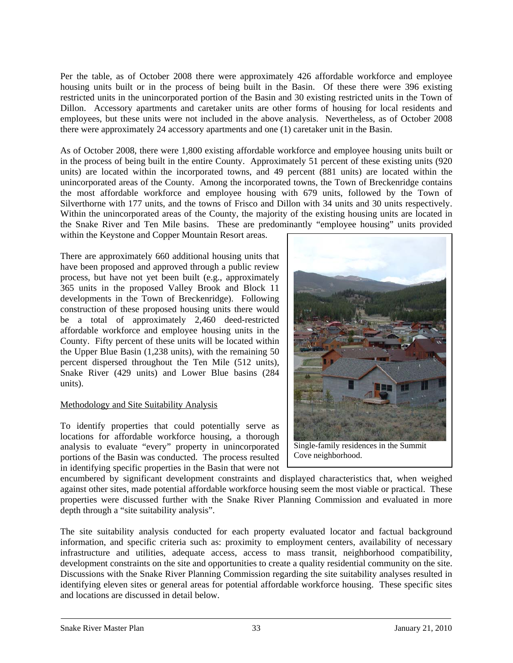Per the table, as of October 2008 there were approximately 426 affordable workforce and employee housing units built or in the process of being built in the Basin. Of these there were 396 existing restricted units in the unincorporated portion of the Basin and 30 existing restricted units in the Town of Dillon. Accessory apartments and caretaker units are other forms of housing for local residents and employees, but these units were not included in the above analysis. Nevertheless, as of October 2008 there were approximately 24 accessory apartments and one (1) caretaker unit in the Basin.

As of October 2008, there were 1,800 existing affordable workforce and employee housing units built or in the process of being built in the entire County. Approximately 51 percent of these existing units (920 units) are located within the incorporated towns, and 49 percent (881 units) are located within the unincorporated areas of the County. Among the incorporated towns, the Town of Breckenridge contains the most affordable workforce and employee housing with 679 units, followed by the Town of Silverthorne with 177 units, and the towns of Frisco and Dillon with 34 units and 30 units respectively. Within the unincorporated areas of the County, the majority of the existing housing units are located in the Snake River and Ten Mile basins. These are predominantly "employee housing" units provided

within the Keystone and Copper Mountain Resort areas.

There are approximately 660 additional housing units that have been proposed and approved through a public review process, but have not yet been built (e.g., approximately 365 units in the proposed Valley Brook and Block 11 developments in the Town of Breckenridge). Following construction of these proposed housing units there would be a total of approximately 2,460 deed-restricted affordable workforce and employee housing units in the County. Fifty percent of these units will be located within the Upper Blue Basin (1,238 units), with the remaining 50 percent dispersed throughout the Ten Mile (512 units), Snake River (429 units) and Lower Blue basins (284 units).

## Methodology and Site Suitability Analysis

To identify properties that could potentially serve as locations for affordable workforce housing, a thorough analysis to evaluate "every" property in unincorporated portions of the Basin was conducted. The process resulted in identifying specific properties in the Basin that were not



Single-family residences in the Summit Cove neighborhood.

encumbered by significant development constraints and displayed characteristics that, when weighed against other sites, made potential affordable workforce housing seem the most viable or practical. These properties were discussed further with the Snake River Planning Commission and evaluated in more depth through a "site suitability analysis".

The site suitability analysis conducted for each property evaluated locator and factual background information, and specific criteria such as: proximity to employment centers, availability of necessary infrastructure and utilities, adequate access, access to mass transit, neighborhood compatibility, development constraints on the site and opportunities to create a quality residential community on the site. Discussions with the Snake River Planning Commission regarding the site suitability analyses resulted in identifying eleven sites or general areas for potential affordable workforce housing. These specific sites and locations are discussed in detail below.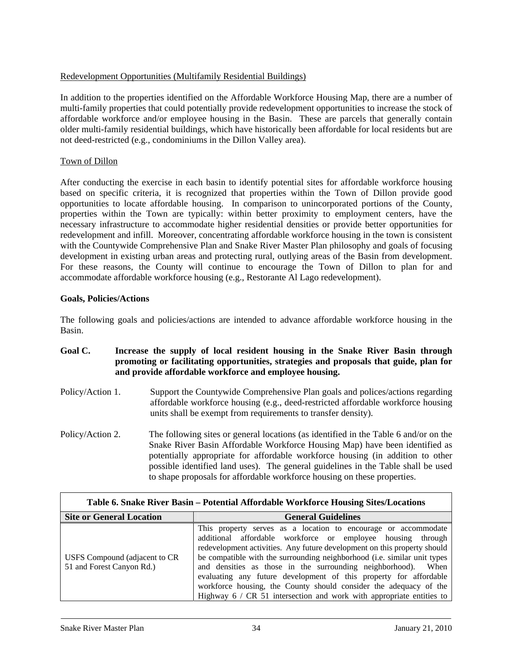## Redevelopment Opportunities (Multifamily Residential Buildings)

In addition to the properties identified on the Affordable Workforce Housing Map, there are a number of multi-family properties that could potentially provide redevelopment opportunities to increase the stock of affordable workforce and/or employee housing in the Basin. These are parcels that generally contain older multi-family residential buildings, which have historically been affordable for local residents but are not deed-restricted (e.g., condominiums in the Dillon Valley area).

## Town of Dillon

After conducting the exercise in each basin to identify potential sites for affordable workforce housing based on specific criteria, it is recognized that properties within the Town of Dillon provide good opportunities to locate affordable housing. In comparison to unincorporated portions of the County, properties within the Town are typically: within better proximity to employment centers, have the necessary infrastructure to accommodate higher residential densities or provide better opportunities for redevelopment and infill. Moreover, concentrating affordable workforce housing in the town is consistent with the Countywide Comprehensive Plan and Snake River Master Plan philosophy and goals of focusing development in existing urban areas and protecting rural, outlying areas of the Basin from development. For these reasons, the County will continue to encourage the Town of Dillon to plan for and accommodate affordable workforce housing (e.g., Restorante Al Lago redevelopment).

## **Goals, Policies/Actions**

The following goals and policies/actions are intended to advance affordable workforce housing in the Basin.

## **Goal C. Increase the supply of local resident housing in the Snake River Basin through promoting or facilitating opportunities, strategies and proposals that guide, plan for and provide affordable workforce and employee housing.**

- Policy/Action 1. Support the Countywide Comprehensive Plan goals and polices/actions regarding affordable workforce housing (e.g., deed-restricted affordable workforce housing units shall be exempt from requirements to transfer density).
- Policy/Action 2. The following sites or general locations (as identified in the Table 6 and/or on the Snake River Basin Affordable Workforce Housing Map) have been identified as potentially appropriate for affordable workforce housing (in addition to other possible identified land uses). The general guidelines in the Table shall be used to shape proposals for affordable workforce housing on these properties.

| Table 6. Snake River Basin – Potential Affordable Workforce Housing Sites/Locations |                                                                                                                                                                                                                                                                                                                                                                                                                                                                                                                                                                            |  |
|-------------------------------------------------------------------------------------|----------------------------------------------------------------------------------------------------------------------------------------------------------------------------------------------------------------------------------------------------------------------------------------------------------------------------------------------------------------------------------------------------------------------------------------------------------------------------------------------------------------------------------------------------------------------------|--|
| <b>Site or General Location</b>                                                     | <b>General Guidelines</b>                                                                                                                                                                                                                                                                                                                                                                                                                                                                                                                                                  |  |
| USFS Compound (adjacent to CR<br>51 and Forest Canyon Rd.)                          | This property serves as a location to encourage or accommodate<br>additional affordable workforce or employee housing through<br>redevelopment activities. Any future development on this property should<br>be compatible with the surrounding neighborhood (i.e. similar unit types<br>and densities as those in the surrounding neighborhood). When<br>evaluating any future development of this property for affordable<br>workforce housing, the County should consider the adequacy of the<br>Highway $6 / CR$ 51 intersection and work with appropriate entities to |  |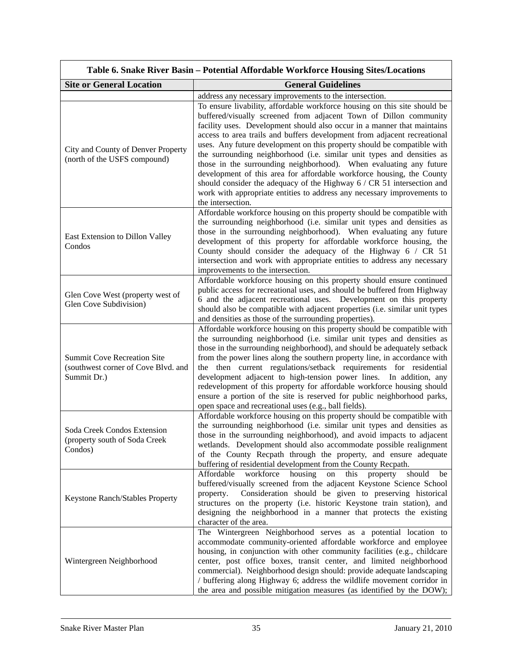|                                                                                          | Table 6. Snake River Basin – Potential Affordable Workforce Housing Sites/Locations                                                                                                                                                                                                                                                                                                                                                                                                                                                                                                                                                                                                                                                                                                   |
|------------------------------------------------------------------------------------------|---------------------------------------------------------------------------------------------------------------------------------------------------------------------------------------------------------------------------------------------------------------------------------------------------------------------------------------------------------------------------------------------------------------------------------------------------------------------------------------------------------------------------------------------------------------------------------------------------------------------------------------------------------------------------------------------------------------------------------------------------------------------------------------|
| <b>Site or General Location</b>                                                          | <b>General Guidelines</b>                                                                                                                                                                                                                                                                                                                                                                                                                                                                                                                                                                                                                                                                                                                                                             |
|                                                                                          | address any necessary improvements to the intersection.                                                                                                                                                                                                                                                                                                                                                                                                                                                                                                                                                                                                                                                                                                                               |
| City and County of Denver Property<br>(north of the USFS compound)                       | To ensure livability, affordable workforce housing on this site should be<br>buffered/visually screened from adjacent Town of Dillon community<br>facility uses. Development should also occur in a manner that maintains<br>access to area trails and buffers development from adjacent recreational<br>uses. Any future development on this property should be compatible with<br>the surrounding neighborhood (i.e. similar unit types and densities as<br>those in the surrounding neighborhood). When evaluating any future<br>development of this area for affordable workforce housing, the County<br>should consider the adequacy of the Highway $6 / CR$ 51 intersection and<br>work with appropriate entities to address any necessary improvements to<br>the intersection. |
| East Extension to Dillon Valley<br>Condos                                                | Affordable workforce housing on this property should be compatible with<br>the surrounding neighborhood (i.e. similar unit types and densities as<br>those in the surrounding neighborhood). When evaluating any future<br>development of this property for affordable workforce housing, the<br>County should consider the adequacy of the Highway 6 / CR 51<br>intersection and work with appropriate entities to address any necessary<br>improvements to the intersection.                                                                                                                                                                                                                                                                                                        |
| Glen Cove West (property west of<br>Glen Cove Subdivision)                               | Affordable workforce housing on this property should ensure continued<br>public access for recreational uses, and should be buffered from Highway<br>6 and the adjacent recreational uses. Development on this property<br>should also be compatible with adjacent properties (i.e. similar unit types<br>and densities as those of the surrounding properties).                                                                                                                                                                                                                                                                                                                                                                                                                      |
| <b>Summit Cove Recreation Site</b><br>(southwest corner of Cove Blvd. and<br>Summit Dr.) | Affordable workforce housing on this property should be compatible with<br>the surrounding neighborhood (i.e. similar unit types and densities as<br>those in the surrounding neighborhood), and should be adequately setback<br>from the power lines along the southern property line, in accordance with<br>the then current regulations/setback requirements for residential<br>development adjacent to high-tension power lines. In addition, any<br>redevelopment of this property for affordable workforce housing should<br>ensure a portion of the site is reserved for public neighborhood parks,<br>open space and recreational uses (e.g., ball fields).                                                                                                                   |
| Soda Creek Condos Extension<br>(property south of Soda Creek<br>Condos)                  | Affordable workforce housing on this property should be compatible with<br>the surrounding neighborhood (i.e. similar unit types and densities as<br>those in the surrounding neighborhood), and avoid impacts to adjacent<br>wetlands. Development should also accommodate possible realignment<br>of the County Recpath through the property, and ensure adequate<br>buffering of residential development from the County Recpath.                                                                                                                                                                                                                                                                                                                                                  |
| Keystone Ranch/Stables Property                                                          | Affordable workforce housing<br>this<br>property<br>should<br>on<br>be<br>buffered/visually screened from the adjacent Keystone Science School<br>Consideration should be given to preserving historical<br>property.<br>structures on the property (i.e. historic Keystone train station), and<br>designing the neighborhood in a manner that protects the existing<br>character of the area.                                                                                                                                                                                                                                                                                                                                                                                        |
| Wintergreen Neighborhood                                                                 | The Wintergreen Neighborhood serves as a potential location to<br>accommodate community-oriented affordable workforce and employee<br>housing, in conjunction with other community facilities (e.g., childcare<br>center, post office boxes, transit center, and limited neighborhood<br>commercial). Neighborhood design should: provide adequate landscaping<br>/ buffering along Highway 6; address the wildlife movement corridor in<br>the area and possible mitigation measures (as identified by the DOW);                                                                                                                                                                                                                                                                     |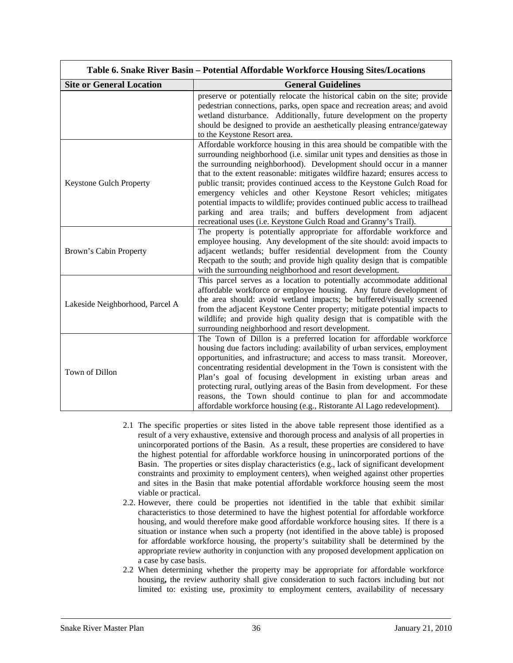|                                 | Table 6. Snake River Basin – Potential Affordable Workforce Housing Sites/Locations                                                                                                                                                                                                                                                                                                                                                                                                                                                                                                                                                                                                |
|---------------------------------|------------------------------------------------------------------------------------------------------------------------------------------------------------------------------------------------------------------------------------------------------------------------------------------------------------------------------------------------------------------------------------------------------------------------------------------------------------------------------------------------------------------------------------------------------------------------------------------------------------------------------------------------------------------------------------|
| <b>Site or General Location</b> | <b>General Guidelines</b>                                                                                                                                                                                                                                                                                                                                                                                                                                                                                                                                                                                                                                                          |
|                                 | preserve or potentially relocate the historical cabin on the site; provide<br>pedestrian connections, parks, open space and recreation areas; and avoid<br>wetland disturbance. Additionally, future development on the property<br>should be designed to provide an aesthetically pleasing entrance/gateway<br>to the Keystone Resort area.                                                                                                                                                                                                                                                                                                                                       |
| <b>Keystone Gulch Property</b>  | Affordable workforce housing in this area should be compatible with the<br>surrounding neighborhood (i.e. similar unit types and densities as those in<br>the surrounding neighborhood). Development should occur in a manner<br>that to the extent reasonable: mitigates wildfire hazard; ensures access to<br>public transit; provides continued access to the Keystone Gulch Road for<br>emergency vehicles and other Keystone Resort vehicles; mitigates<br>potential impacts to wildlife; provides continued public access to trailhead<br>parking and area trails; and buffers development from adjacent<br>recreational uses (i.e. Keystone Gulch Road and Granny's Trail). |
| Brown's Cabin Property          | The property is potentially appropriate for affordable workforce and<br>employee housing. Any development of the site should: avoid impacts to<br>adjacent wetlands; buffer residential development from the County<br>Recpath to the south; and provide high quality design that is compatible<br>with the surrounding neighborhood and resort development.                                                                                                                                                                                                                                                                                                                       |
| Lakeside Neighborhood, Parcel A | This parcel serves as a location to potentially accommodate additional<br>affordable workforce or employee housing. Any future development of<br>the area should: avoid wetland impacts; be buffered/visually screened<br>from the adjacent Keystone Center property; mitigate potential impacts to<br>wildlife; and provide high quality design that is compatible with the<br>surrounding neighborhood and resort development.                                                                                                                                                                                                                                                   |
| Town of Dillon                  | The Town of Dillon is a preferred location for affordable workforce<br>housing due factors including: availability of urban services, employment<br>opportunities, and infrastructure; and access to mass transit. Moreover,<br>concentrating residential development in the Town is consistent with the<br>Plan's goal of focusing development in existing urban areas and<br>protecting rural, outlying areas of the Basin from development. For these<br>reasons, the Town should continue to plan for and accommodate<br>affordable workforce housing (e.g., Ristorante Al Lago redevelopment).                                                                                |

- 2.1 The specific properties or sites listed in the above table represent those identified as a result of a very exhaustive, extensive and thorough process and analysis of all properties in unincorporated portions of the Basin. As a result, these properties are considered to have the highest potential for affordable workforce housing in unincorporated portions of the Basin. The properties or sites display characteristics (e.g., lack of significant development constraints and proximity to employment centers), when weighed against other properties and sites in the Basin that make potential affordable workforce housing seem the most viable or practical.
- 2.2. However, there could be properties not identified in the table that exhibit similar characteristics to those determined to have the highest potential for affordable workforce housing, and would therefore make good affordable workforce housing sites. If there is a situation or instance when such a property (not identified in the above table) is proposed for affordable workforce housing, the property's suitability shall be determined by the appropriate review authority in conjunction with any proposed development application on a case by case basis.
- 2.2 When determining whether the property may be appropriate for affordable workforce housing**,** the review authority shall give consideration to such factors including but not limited to: existing use, proximity to employment centers, availability of necessary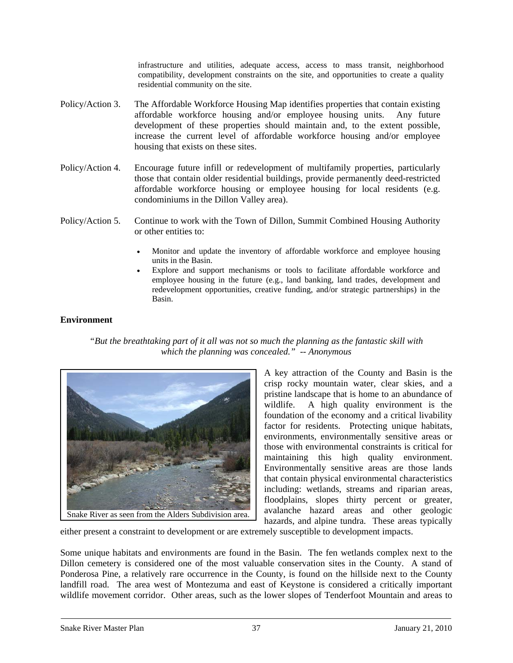infrastructure and utilities, adequate access, access to mass transit, neighborhood compatibility, development constraints on the site, and opportunities to create a quality residential community on the site.

- Policy/Action 3. The Affordable Workforce Housing Map identifies properties that contain existing affordable workforce housing and/or employee housing units. Any future development of these properties should maintain and, to the extent possible, increase the current level of affordable workforce housing and/or employee housing that exists on these sites.
- Policy/Action 4. Encourage future infill or redevelopment of multifamily properties, particularly those that contain older residential buildings, provide permanently deed-restricted affordable workforce housing or employee housing for local residents (e.g. condominiums in the Dillon Valley area).
- Policy/Action 5. Continue to work with the Town of Dillon, Summit Combined Housing Authority or other entities to:
	- Monitor and update the inventory of affordable workforce and employee housing units in the Basin.
	- Explore and support mechanisms or tools to facilitate affordable workforce and employee housing in the future (e.g., land banking, land trades, development and redevelopment opportunities, creative funding, and/or strategic partnerships) in the Basin.

## **Environment**

*"But the breathtaking part of it all was not so much the planning as the fantastic skill with which the planning was concealed." -- Anonymous* 



A key attraction of the County and Basin is the crisp rocky mountain water, clear skies, and a pristine landscape that is home to an abundance of wildlife. A high quality environment is the foundation of the economy and a critical livability factor for residents. Protecting unique habitats, environments, environmentally sensitive areas or those with environmental constraints is critical for maintaining this high quality environment. Environmentally sensitive areas are those lands that contain physical environmental characteristics including: wetlands, streams and riparian areas, floodplains, slopes thirty percent or greater, avalanche hazard areas and other geologic hazards, and alpine tundra. These areas typically

either present a constraint to development or are extremely susceptible to development impacts.

Some unique habitats and environments are found in the Basin. The fen wetlands complex next to the Dillon cemetery is considered one of the most valuable conservation sites in the County. A stand of Ponderosa Pine, a relatively rare occurrence in the County, is found on the hillside next to the County landfill road. The area west of Montezuma and east of Keystone is considered a critically important wildlife movement corridor. Other areas, such as the lower slopes of Tenderfoot Mountain and areas to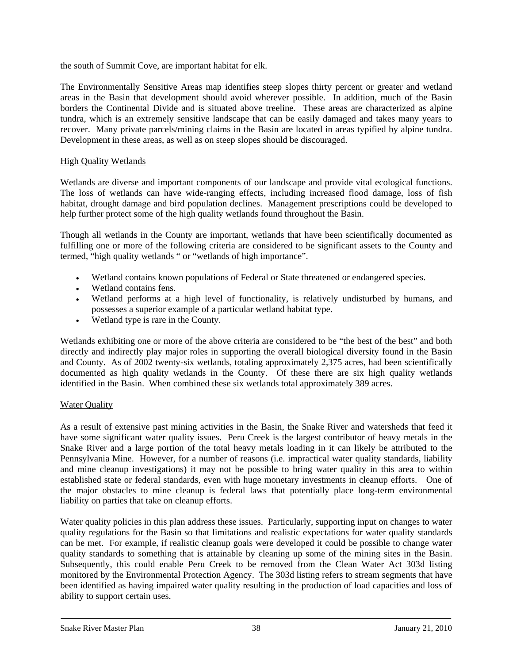the south of Summit Cove, are important habitat for elk.

The Environmentally Sensitive Areas map identifies steep slopes thirty percent or greater and wetland areas in the Basin that development should avoid wherever possible. In addition, much of the Basin borders the Continental Divide and is situated above treeline. These areas are characterized as alpine tundra, which is an extremely sensitive landscape that can be easily damaged and takes many years to recover. Many private parcels/mining claims in the Basin are located in areas typified by alpine tundra. Development in these areas, as well as on steep slopes should be discouraged.

### High Quality Wetlands

Wetlands are diverse and important components of our landscape and provide vital ecological functions. The loss of wetlands can have wide-ranging effects, including increased flood damage, loss of fish habitat, drought damage and bird population declines. Management prescriptions could be developed to help further protect some of the high quality wetlands found throughout the Basin.

Though all wetlands in the County are important, wetlands that have been scientifically documented as fulfilling one or more of the following criteria are considered to be significant assets to the County and termed, "high quality wetlands " or "wetlands of high importance".

- Wetland contains known populations of Federal or State threatened or endangered species.
- Wetland contains fens.
- Wetland performs at a high level of functionality, is relatively undisturbed by humans, and possesses a superior example of a particular wetland habitat type.
- Wetland type is rare in the County.

Wetlands exhibiting one or more of the above criteria are considered to be "the best of the best" and both directly and indirectly play major roles in supporting the overall biological diversity found in the Basin and County. As of 2002 twenty-six wetlands, totaling approximately 2,375 acres, had been scientifically documented as high quality wetlands in the County. Of these there are six high quality wetlands identified in the Basin. When combined these six wetlands total approximately 389 acres.

## **Water Quality**

As a result of extensive past mining activities in the Basin, the Snake River and watersheds that feed it have some significant water quality issues. Peru Creek is the largest contributor of heavy metals in the Snake River and a large portion of the total heavy metals loading in it can likely be attributed to the Pennsylvania Mine. However, for a number of reasons (i.e. impractical water quality standards, liability and mine cleanup investigations) it may not be possible to bring water quality in this area to within established state or federal standards, even with huge monetary investments in cleanup efforts. One of the major obstacles to mine cleanup is federal laws that potentially place long-term environmental liability on parties that take on cleanup efforts.

Water quality policies in this plan address these issues. Particularly, supporting input on changes to water quality regulations for the Basin so that limitations and realistic expectations for water quality standards can be met. For example, if realistic cleanup goals were developed it could be possible to change water quality standards to something that is attainable by cleaning up some of the mining sites in the Basin. Subsequently, this could enable Peru Creek to be removed from the Clean Water Act 303d listing monitored by the Environmental Protection Agency. The 303d listing refers to stream segments that have been identified as having impaired water quality resulting in the production of load capacities and loss of ability to support certain uses.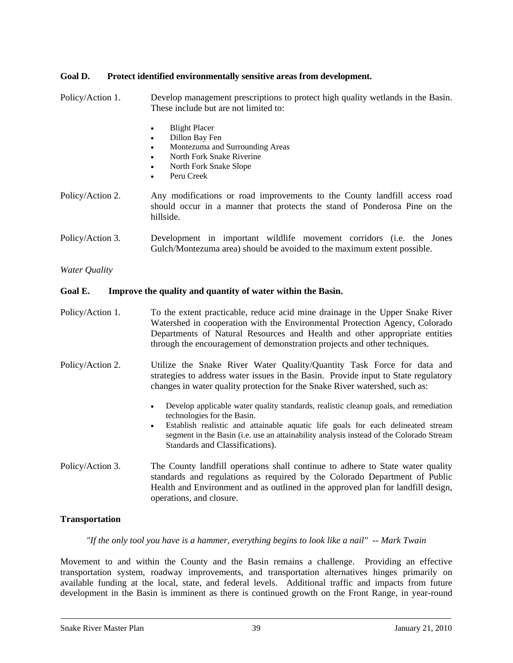## **Goal D. Protect identified environmentally sensitive areas from development.**

Policy/Action 1. Develop management prescriptions to protect high quality wetlands in the Basin. These include but are not limited to: **Blight Placer** Dillon Bay Fen • Montezuma and Surrounding Areas • North Fork Snake Riverine • North Fork Snake Slope Peru Creek Policy/Action 2. Any modifications or road improvements to the County landfill access road should occur in a manner that protects the stand of Ponderosa Pine on the hillside. Policy/Action 3. Development in important wildlife movement corridors (i.e. the Jones Gulch/Montezuma area) should be avoided to the maximum extent possible. *Water Quality*  **Goal E. Improve the quality and quantity of water within the Basin.**  Policy/Action 1. To the extent practicable, reduce acid mine drainage in the Upper Snake River Watershed in cooperation with the Environmental Protection Agency, Colorado Departments of Natural Resources and Health and other appropriate entities through the encouragement of demonstration projects and other techniques. Policy/Action 2. Utilize the Snake River Water Quality/Quantity Task Force for data and strategies to address water issues in the Basin. Provide input to State regulatory changes in water quality protection for the Snake River watershed, such as: • Develop applicable water quality standards, realistic cleanup goals, and remediation technologies for the Basin.

- Establish realistic and attainable aquatic life goals for each delineated stream segment in the Basin (i.e. use an attainability analysis instead of the Colorado Stream Standards and Classifications).
- Policy/Action 3. The County landfill operations shall continue to adhere to State water quality standards and regulations as required by the Colorado Department of Public Health and Environment and as outlined in the approved plan for landfill design, operations, and closure.

## **Transportation**

*"If the only tool you have is a hammer, everything begins to look like a nail" -- Mark Twain* 

Movement to and within the County and the Basin remains a challenge. Providing an effective transportation system, roadway improvements, and transportation alternatives hinges primarily on available funding at the local, state, and federal levels. Additional traffic and impacts from future development in the Basin is imminent as there is continued growth on the Front Range, in year-round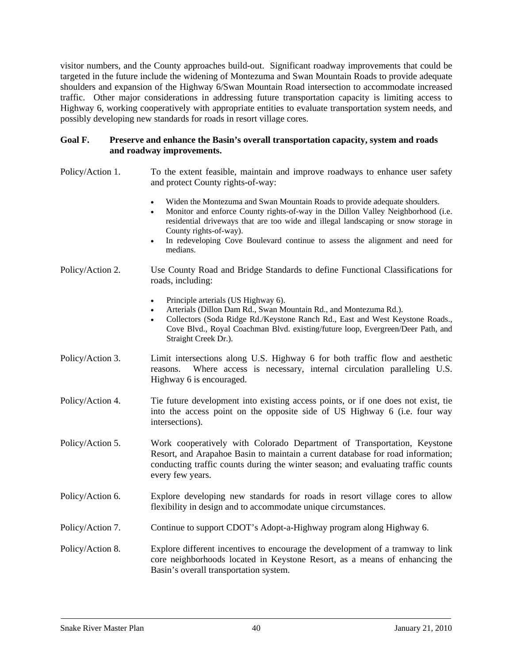visitor numbers, and the County approaches build-out. Significant roadway improvements that could be targeted in the future include the widening of Montezuma and Swan Mountain Roads to provide adequate shoulders and expansion of the Highway 6/Swan Mountain Road intersection to accommodate increased traffic. Other major considerations in addressing future transportation capacity is limiting access to Highway 6, working cooperatively with appropriate entities to evaluate transportation system needs, and possibly developing new standards for roads in resort village cores.

#### **Goal F. Preserve and enhance the Basin's overall transportation capacity, system and roads and roadway improvements.**

- Policy/Action 1. To the extent feasible, maintain and improve roadways to enhance user safety and protect County rights-of-way:
	- Widen the Montezuma and Swan Mountain Roads to provide adequate shoulders.
	- Monitor and enforce County rights-of-way in the Dillon Valley Neighborhood (i.e. residential driveways that are too wide and illegal landscaping or snow storage in County rights-of-way).
	- In redeveloping Cove Boulevard continue to assess the alignment and need for medians.
- Policy/Action 2. Use County Road and Bridge Standards to define Functional Classifications for roads, including:
	- Principle arterials (US Highway 6).
	- Arterials (Dillon Dam Rd., Swan Mountain Rd., and Montezuma Rd.).
	- Collectors (Soda Ridge Rd./Keystone Ranch Rd., East and West Keystone Roads., Cove Blvd., Royal Coachman Blvd. existing/future loop, Evergreen/Deer Path, and Straight Creek Dr.).
- Policy/Action 3. Limit intersections along U.S. Highway 6 for both traffic flow and aesthetic reasons. Where access is necessary, internal circulation paralleling U.S. Highway 6 is encouraged.
- Policy/Action 4. Tie future development into existing access points, or if one does not exist, tie into the access point on the opposite side of US Highway 6 (i.e. four way intersections).
- Policy/Action 5. Work cooperatively with Colorado Department of Transportation, Keystone Resort, and Arapahoe Basin to maintain a current database for road information; conducting traffic counts during the winter season; and evaluating traffic counts every few years.
- Policy/Action 6. Explore developing new standards for roads in resort village cores to allow flexibility in design and to accommodate unique circumstances.
- Policy/Action 7. Continue to support CDOT's Adopt-a-Highway program along Highway 6.
- Policy/Action 8. Explore different incentives to encourage the development of a tramway to link core neighborhoods located in Keystone Resort, as a means of enhancing the Basin's overall transportation system.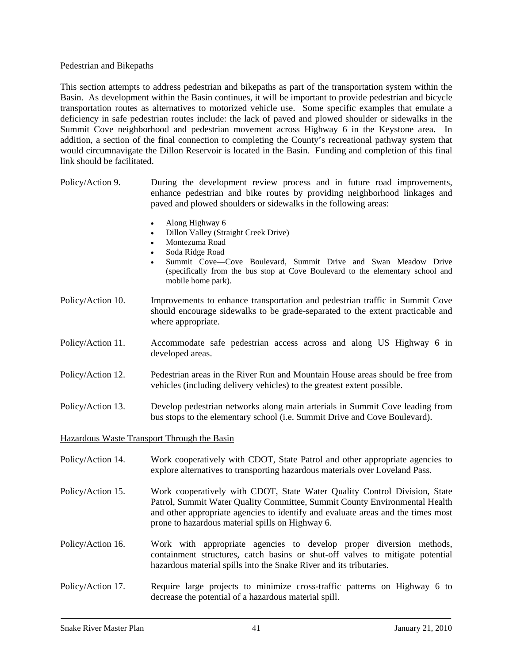#### Pedestrian and Bikepaths

This section attempts to address pedestrian and bikepaths as part of the transportation system within the Basin. As development within the Basin continues, it will be important to provide pedestrian and bicycle transportation routes as alternatives to motorized vehicle use. Some specific examples that emulate a deficiency in safe pedestrian routes include: the lack of paved and plowed shoulder or sidewalks in the Summit Cove neighborhood and pedestrian movement across Highway 6 in the Keystone area. In addition, a section of the final connection to completing the County's recreational pathway system that would circumnavigate the Dillon Reservoir is located in the Basin. Funding and completion of this final link should be facilitated.

- Policy/Action 9. During the development review process and in future road improvements, enhance pedestrian and bike routes by providing neighborhood linkages and paved and plowed shoulders or sidewalks in the following areas:
	- Along Highway 6
	- Dillon Valley (Straight Creek Drive)
	- Montezuma Road
	- Soda Ridge Road
	- Summit Cove—Cove Boulevard, Summit Drive and Swan Meadow Drive (specifically from the bus stop at Cove Boulevard to the elementary school and mobile home park).
- Policy/Action 10. Improvements to enhance transportation and pedestrian traffic in Summit Cove should encourage sidewalks to be grade-separated to the extent practicable and where appropriate.
- Policy/Action 11. Accommodate safe pedestrian access across and along US Highway 6 in developed areas.
- Policy/Action 12. Pedestrian areas in the River Run and Mountain House areas should be free from vehicles (including delivery vehicles) to the greatest extent possible.
- Policy/Action 13. Develop pedestrian networks along main arterials in Summit Cove leading from bus stops to the elementary school (i.e. Summit Drive and Cove Boulevard).

Hazardous Waste Transport Through the Basin

- Policy/Action 14. Work cooperatively with CDOT, State Patrol and other appropriate agencies to explore alternatives to transporting hazardous materials over Loveland Pass.
- Policy/Action 15. Work cooperatively with CDOT, State Water Quality Control Division, State Patrol, Summit Water Quality Committee, Summit County Environmental Health and other appropriate agencies to identify and evaluate areas and the times most prone to hazardous material spills on Highway 6.
- Policy/Action 16. Work with appropriate agencies to develop proper diversion methods, containment structures, catch basins or shut-off valves to mitigate potential hazardous material spills into the Snake River and its tributaries.
- Policy/Action 17. Require large projects to minimize cross-traffic patterns on Highway 6 to decrease the potential of a hazardous material spill.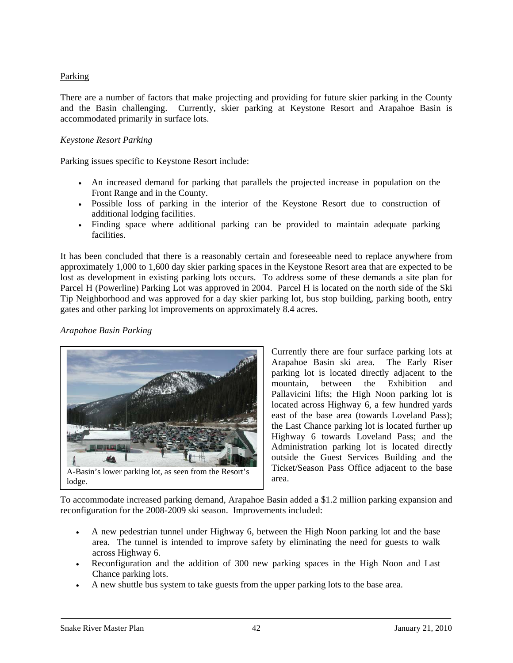## Parking

There are a number of factors that make projecting and providing for future skier parking in the County and the Basin challenging. Currently, skier parking at Keystone Resort and Arapahoe Basin is accommodated primarily in surface lots.

## *Keystone Resort Parking*

Parking issues specific to Keystone Resort include:

- An increased demand for parking that parallels the projected increase in population on the Front Range and in the County.
- Possible loss of parking in the interior of the Keystone Resort due to construction of additional lodging facilities.
- Finding space where additional parking can be provided to maintain adequate parking facilities.

It has been concluded that there is a reasonably certain and foreseeable need to replace anywhere from approximately 1,000 to 1,600 day skier parking spaces in the Keystone Resort area that are expected to be lost as development in existing parking lots occurs. To address some of these demands a site plan for Parcel H (Powerline) Parking Lot was approved in 2004. Parcel H is located on the north side of the Ski Tip Neighborhood and was approved for a day skier parking lot, bus stop building, parking booth, entry gates and other parking lot improvements on approximately 8.4 acres.

#### *Arapahoe Basin Parking*



Currently there are four surface parking lots at Arapahoe Basin ski area. The Early Riser parking lot is located directly adjacent to the mountain, between the Exhibition and Pallavicini lifts; the High Noon parking lot is located across Highway 6, a few hundred yards east of the base area (towards Loveland Pass); the Last Chance parking lot is located further up Highway 6 towards Loveland Pass; and the Administration parking lot is located directly outside the Guest Services Building and the Ticket/Season Pass Office adjacent to the base area.

To accommodate increased parking demand, Arapahoe Basin added a \$1.2 million parking expansion and reconfiguration for the 2008-2009 ski season. Improvements included:

- A new pedestrian tunnel under Highway 6, between the High Noon parking lot and the base area. The tunnel is intended to improve safety by eliminating the need for guests to walk across Highway 6.
- Reconfiguration and the addition of 300 new parking spaces in the High Noon and Last Chance parking lots.
- A new shuttle bus system to take guests from the upper parking lots to the base area.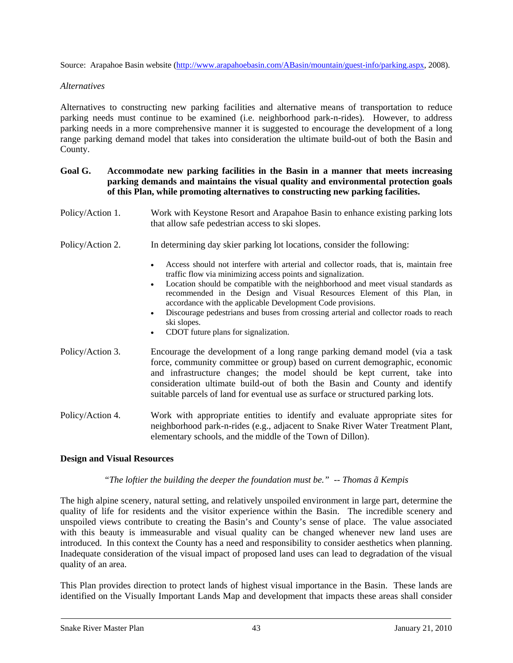Source: Arapahoe Basin website (<http://www.arapahoebasin.com/ABasin/mountain/guest-info/parking.aspx>, 2008).

#### *Alternatives*

Alternatives to constructing new parking facilities and alternative means of transportation to reduce parking needs must continue to be examined (i.e. neighborhood park-n-rides). However, to address parking needs in a more comprehensive manner it is suggested to encourage the development of a long range parking demand model that takes into consideration the ultimate build-out of both the Basin and County.

## **Goal G. Accommodate new parking facilities in the Basin in a manner that meets increasing parking demands and maintains the visual quality and environmental protection goals of this Plan, while promoting alternatives to constructing new parking facilities.**

- Policy/Action 1. Work with Keystone Resort and Arapahoe Basin to enhance existing parking lots that allow safe pedestrian access to ski slopes.
- Policy/Action 2. In determining day skier parking lot locations, consider the following:
	- Access should not interfere with arterial and collector roads, that is, maintain free traffic flow via minimizing access points and signalization.
	- Location should be compatible with the neighborhood and meet visual standards as recommended in the Design and Visual Resources Element of this Plan, in accordance with the applicable Development Code provisions.
	- Discourage pedestrians and buses from crossing arterial and collector roads to reach ski slopes.
	- CDOT future plans for signalization.
- Policy/Action 3. Encourage the development of a long range parking demand model (via a task force, community committee or group) based on current demographic, economic and infrastructure changes; the model should be kept current, take into consideration ultimate build-out of both the Basin and County and identify suitable parcels of land for eventual use as surface or structured parking lots.
- Policy/Action 4. Work with appropriate entities to identify and evaluate appropriate sites for neighborhood park-n-rides (e.g., adjacent to Snake River Water Treatment Plant, elementary schools, and the middle of the Town of Dillon).

## **Design and Visual Resources**

## *"The loftier the building the deeper the foundation must be." -- [Thomas ã Kempis](http://www.cybernation.com/victory/quotations/authors/quotes_kempis_thomas%C3%A3.html)*

The high alpine scenery, natural setting, and relatively unspoiled environment in large part, determine the quality of life for residents and the visitor experience within the Basin. The incredible scenery and unspoiled views contribute to creating the Basin's and County's sense of place. The value associated with this beauty is immeasurable and visual quality can be changed whenever new land uses are introduced. In this context the County has a need and responsibility to consider aesthetics when planning. Inadequate consideration of the visual impact of proposed land uses can lead to degradation of the visual quality of an area.

This Plan provides direction to protect lands of highest visual importance in the Basin. These lands are identified on the Visually Important Lands Map and development that impacts these areas shall consider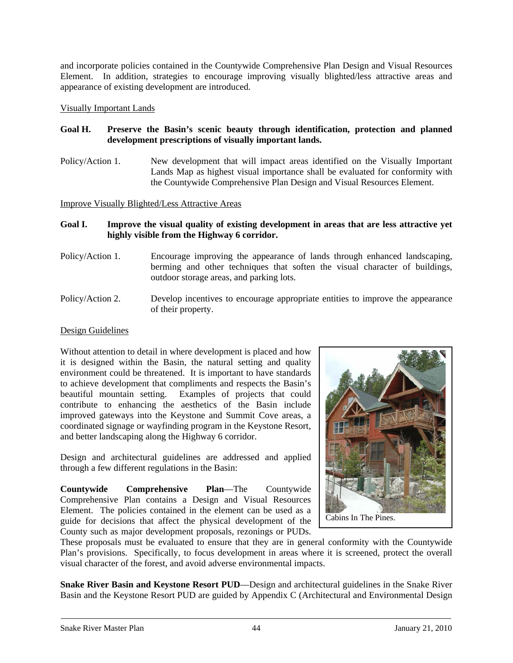and incorporate policies contained in the Countywide Comprehensive Plan Design and Visual Resources Element. In addition, strategies to encourage improving visually blighted/less attractive areas and appearance of existing development are introduced.

Visually Important Lands

## **Goal H. Preserve the Basin's scenic beauty through identification, protection and planned development prescriptions of visually important lands.**

Policy/Action 1. New development that will impact areas identified on the Visually Important Lands Map as highest visual importance shall be evaluated for conformity with the Countywide Comprehensive Plan Design and Visual Resources Element.

Improve Visually Blighted/Less Attractive Areas

## **Goal I. Improve the visual quality of existing development in areas that are less attractive yet highly visible from the Highway 6 corridor.**

- Policy/Action 1. Encourage improving the appearance of lands through enhanced landscaping, berming and other techniques that soften the visual character of buildings, outdoor storage areas, and parking lots.
- Policy/Action 2. Develop incentives to encourage appropriate entities to improve the appearance of their property.

## Design Guidelines

Without attention to detail in where development is placed and how it is designed within the Basin, the natural setting and quality environment could be threatened. It is important to have standards to achieve development that compliments and respects the Basin's beautiful mountain setting. Examples of projects that could contribute to enhancing the aesthetics of the Basin include improved gateways into the Keystone and Summit Cove areas, a coordinated signage or wayfinding program in the Keystone Resort, and better landscaping along the Highway 6 corridor.

Design and architectural guidelines are addressed and applied through a few different regulations in the Basin:

**Countywide Comprehensive Plan**—The Countywide Comprehensive Plan contains a Design and Visual Resources Element. The policies contained in the element can be used as a guide for decisions that affect the physical development of the County such as major development proposals, rezonings or PUDs.



These proposals must be evaluated to ensure that they are in general conformity with the Countywide Plan's provisions. Specifically, to focus development in areas where it is screened, protect the overall visual character of the forest, and avoid adverse environmental impacts.

**Snake River Basin and Keystone Resort PUD**—Design and architectural guidelines in the Snake River Basin and the Keystone Resort PUD are guided by Appendix C (Architectural and Environmental Design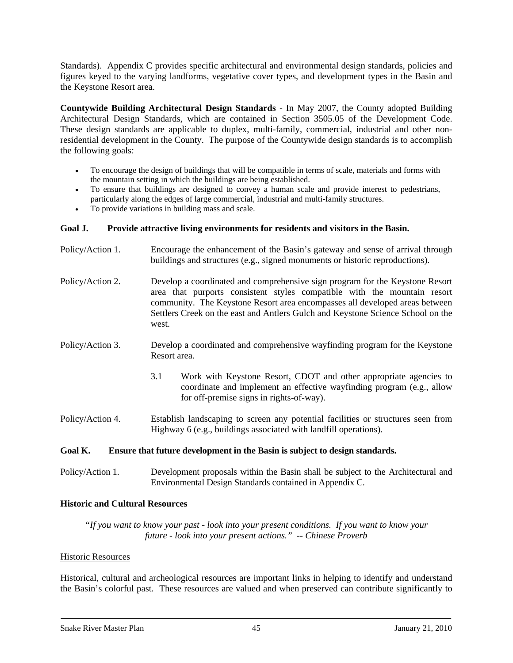Standards). Appendix C provides specific architectural and environmental design standards, policies and figures keyed to the varying landforms, vegetative cover types, and development types in the Basin and the Keystone Resort area.

**Countywide Building Architectural Design Standards** - In May 2007, the County adopted Building Architectural Design Standards, which are contained in Section 3505.05 of the Development Code. These design standards are applicable to duplex, multi-family, commercial, industrial and other nonresidential development in the County. The purpose of the Countywide design standards is to accomplish the following goals:

- To encourage the design of buildings that will be compatible in terms of scale, materials and forms with the mountain setting in which the buildings are being established.
- To ensure that buildings are designed to convey a human scale and provide interest to pedestrians, particularly along the edges of large commercial, industrial and multi-family structures.
- To provide variations in building mass and scale.

## **Goal J. Provide attractive living environments for residents and visitors in the Basin.**

| Policy/Action 1. | Encourage the enhancement of the Basin's gateway and sense of arrival through<br>buildings and structures (e.g., signed monuments or historic reproductions).                                                                                                                                                                       |
|------------------|-------------------------------------------------------------------------------------------------------------------------------------------------------------------------------------------------------------------------------------------------------------------------------------------------------------------------------------|
| Policy/Action 2. | Develop a coordinated and comprehensive sign program for the Keystone Resort<br>area that purports consistent styles compatible with the mountain resort<br>community. The Keystone Resort area encompasses all developed areas between<br>Settlers Creek on the east and Antlers Gulch and Keystone Science School on the<br>west. |
| Policy/Action 3. | Develop a coordinated and comprehensive wayfinding program for the Keystone<br>Resort area.                                                                                                                                                                                                                                         |
|                  | 3.1<br>Work with Keystone Resort, CDOT and other appropriate agencies to<br>coordinate and implement an effective wayfinding program (e.g., allow<br>for off-premise signs in rights-of-way).                                                                                                                                       |
| Policy/Action 4. | Establish landscaping to screen any potential facilities or structures seen from<br>Highway 6 (e.g., buildings associated with landfill operations).                                                                                                                                                                                |
| Goal K.          | Ensure that future development in the Basin is subject to design standards.                                                                                                                                                                                                                                                         |

Policy/Action 1. Development proposals within the Basin shall be subject to the Architectural and Environmental Design Standards contained in Appendix C.

## **Historic and Cultural Resources**

*"If you want to know your past - look into your present conditions. If you want to know your future - look into your present actions." -- Chinese Proverb* 

#### Historic Resources

Historical, cultural and archeological resources are important links in helping to identify and understand the Basin's colorful past. These resources are valued and when preserved can contribute significantly to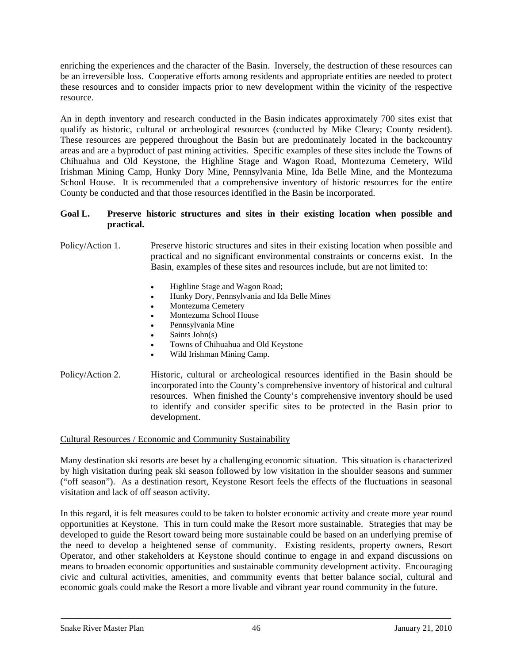enriching the experiences and the character of the Basin. Inversely, the destruction of these resources can be an irreversible loss. Cooperative efforts among residents and appropriate entities are needed to protect these resources and to consider impacts prior to new development within the vicinity of the respective resource.

An in depth inventory and research conducted in the Basin indicates approximately 700 sites exist that qualify as historic, cultural or archeological resources (conducted by Mike Cleary; County resident). These resources are peppered throughout the Basin but are predominately located in the backcountry areas and are a byproduct of past mining activities. Specific examples of these sites include the Towns of Chihuahua and Old Keystone, the Highline Stage and Wagon Road, Montezuma Cemetery, Wild Irishman Mining Camp, Hunky Dory Mine, Pennsylvania Mine, Ida Belle Mine, and the Montezuma School House. It is recommended that a comprehensive inventory of historic resources for the entire County be conducted and that those resources identified in the Basin be incorporated.

## **Goal L. Preserve historic structures and sites in their existing location when possible and practical.**

Policy/Action 1. Preserve historic structures and sites in their existing location when possible and practical and no significant environmental constraints or concerns exist. In the Basin, examples of these sites and resources include, but are not limited to:

- Highline Stage and Wagon Road;
- Hunky Dory, Pennsylvania and Ida Belle Mines
- Montezuma Cemetery
- Montezuma School House
- Pennsylvania Mine
- Saints John(s)
- Towns of Chihuahua and Old Keystone
- Wild Irishman Mining Camp.
- Policy/Action 2. Historic, cultural or archeological resources identified in the Basin should be incorporated into the County's comprehensive inventory of historical and cultural resources. When finished the County's comprehensive inventory should be used to identify and consider specific sites to be protected in the Basin prior to development.

#### Cultural Resources / Economic and Community Sustainability

Many destination ski resorts are beset by a challenging economic situation. This situation is characterized by high visitation during peak ski season followed by low visitation in the shoulder seasons and summer ("off season"). As a destination resort, Keystone Resort feels the effects of the fluctuations in seasonal visitation and lack of off season activity.

In this regard, it is felt measures could to be taken to bolster economic activity and create more year round opportunities at Keystone. This in turn could make the Resort more sustainable. Strategies that may be developed to guide the Resort toward being more sustainable could be based on an underlying premise of the need to develop a heightened sense of community. Existing residents, property owners, Resort Operator, and other stakeholders at Keystone should continue to engage in and expand discussions on means to broaden economic opportunities and sustainable community development activity. Encouraging civic and cultural activities, amenities, and community events that better balance social, cultural and economic goals could make the Resort a more livable and vibrant year round community in the future.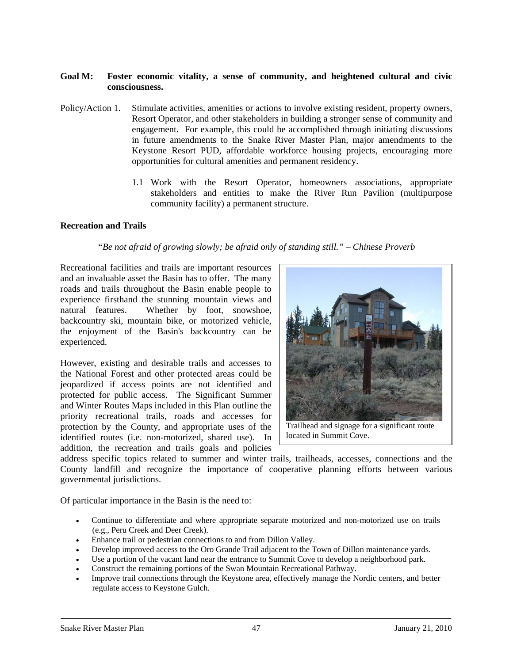#### **Goal M: Foster economic vitality, a sense of community, and heightened cultural and civic consciousness.**

- Policy/Action 1. Stimulate activities, amenities or actions to involve existing resident, property owners, Resort Operator, and other stakeholders in building a stronger sense of community and engagement. For example, this could be accomplished through initiating discussions in future amendments to the Snake River Master Plan, major amendments to the Keystone Resort PUD, affordable workforce housing projects, encouraging more opportunities for cultural amenities and permanent residency.
	- 1.1 Work with the Resort Operator, homeowners associations, appropriate stakeholders and entities to make the River Run Pavilion (multipurpose community facility) a permanent structure.

#### **Recreation and Trails**

#### *"Be not afraid of growing slowly; be afraid only of standing still." – Chinese Proverb*

Recreational facilities and trails are important resources and an invaluable asset the Basin has to offer. The many roads and trails throughout the Basin enable people to experience firsthand the stunning mountain views and natural features. Whether by foot, snowshoe, backcountry ski, mountain bike, or motorized vehicle, the enjoyment of the Basin's backcountry can be experienced.

However, existing and desirable trails and accesses to the National Forest and other protected areas could be jeopardized if access points are not identified and protected for public access. The Significant Summer and Winter Routes Maps included in this Plan outline the priority recreational trails, roads and accesses for protection by the County, and appropriate uses of the identified routes (i.e. non-motorized, shared use). In addition, the recreation and trails goals and policies



located in Summit Cove.

address specific topics related to summer and winter trails, trailheads, accesses, connections and the County landfill and recognize the importance of cooperative planning efforts between various governmental jurisdictions.

Of particular importance in the Basin is the need to:

- Continue to differentiate and where appropriate separate motorized and non-motorized use on trails (e.g., Peru Creek and Deer Creek).
- Enhance trail or pedestrian connections to and from Dillon Valley.
- Develop improved access to the Oro Grande Trail adjacent to the Town of Dillon maintenance yards.
- Use a portion of the vacant land near the entrance to Summit Cove to develop a neighborhood park.
- Construct the remaining portions of the Swan Mountain Recreational Pathway.
- Improve trail connections through the Keystone area, effectively manage the Nordic centers, and better regulate access to Keystone Gulch.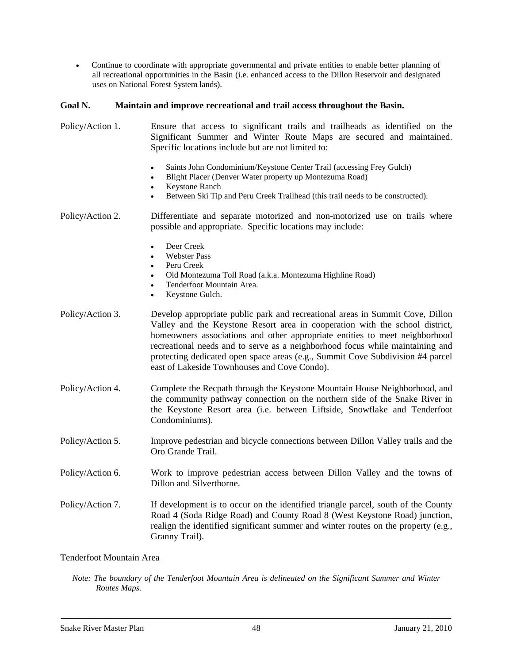• Continue to coordinate with appropriate governmental and private entities to enable better planning of all recreational opportunities in the Basin (i.e. enhanced access to the Dillon Reservoir and designated uses on National Forest System lands).

#### **Goal N. Maintain and improve recreational and trail access throughout the Basin.**

Policy/Action 1. Ensure that access to significant trails and trailheads as identified on the Significant Summer and Winter Route Maps are secured and maintained. Specific locations include but are not limited to: Saints John Condominium/Keystone Center Trail (accessing Frey Gulch) • Blight Placer (Denver Water property up Montezuma Road) **Keystone Ranch** Between Ski Tip and Peru Creek Trailhead (this trail needs to be constructed). Policy/Action 2. Differentiate and separate motorized and non-motorized use on trails where possible and appropriate. Specific locations may include: Deer Creek • Webster Pass • Peru Creek • Old Montezuma Toll Road (a.k.a. Montezuma Highline Road) • Tenderfoot Mountain Area. Keystone Gulch. Policy/Action 3. Develop appropriate public park and recreational areas in Summit Cove, Dillon Valley and the Keystone Resort area in cooperation with the school district, homeowners associations and other appropriate entities to meet neighborhood recreational needs and to serve as a neighborhood focus while maintaining and protecting dedicated open space areas (e.g., Summit Cove Subdivision #4 parcel east of Lakeside Townhouses and Cove Condo). Policy/Action 4. Complete the Recpath through the Keystone Mountain House Neighborhood, and the community pathway connection on the northern side of the Snake River in the Keystone Resort area (i.e. between Liftside, Snowflake and Tenderfoot Condominiums). Policy/Action 5. Improve pedestrian and bicycle connections between Dillon Valley trails and the Oro Grande Trail. Policy/Action 6. Work to improve pedestrian access between Dillon Valley and the towns of Dillon and Silverthorne. Policy/Action 7. If development is to occur on the identified triangle parcel, south of the County Road 4 (Soda Ridge Road) and County Road 8 (West Keystone Road) junction, realign the identified significant summer and winter routes on the property (e.g., Granny Trail).

#### Tenderfoot Mountain Area

*Note: The boundary of the Tenderfoot Mountain Area is delineated on the Significant Summer and Winter Routes Maps.*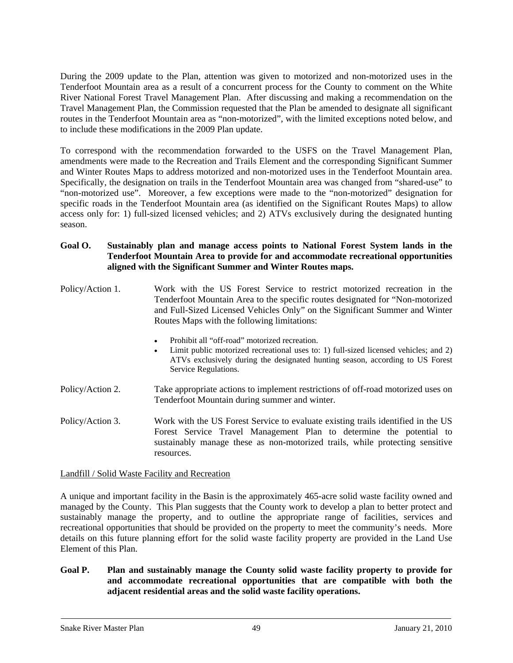During the 2009 update to the Plan, attention was given to motorized and non-motorized uses in the Tenderfoot Mountain area as a result of a concurrent process for the County to comment on the White River National Forest Travel Management Plan. After discussing and making a recommendation on the Travel Management Plan, the Commission requested that the Plan be amended to designate all significant routes in the Tenderfoot Mountain area as "non-motorized", with the limited exceptions noted below, and to include these modifications in the 2009 Plan update.

To correspond with the recommendation forwarded to the USFS on the Travel Management Plan, amendments were made to the Recreation and Trails Element and the corresponding Significant Summer and Winter Routes Maps to address motorized and non-motorized uses in the Tenderfoot Mountain area. Specifically, the designation on trails in the Tenderfoot Mountain area was changed from "shared-use" to "non-motorized use". Moreover, a few exceptions were made to the "non-motorized" designation for specific roads in the Tenderfoot Mountain area (as identified on the Significant Routes Maps) to allow access only for: 1) full-sized licensed vehicles; and 2) ATVs exclusively during the designated hunting season.

## **Goal O. Sustainably plan and manage access points to National Forest System lands in the Tenderfoot Mountain Area to provide for and accommodate recreational opportunities aligned with the Significant Summer and Winter Routes maps.**

| Policy/Action 1. | Work with the US Forest Service to restrict motorized recreation in the<br>Tenderfoot Mountain Area to the specific routes designated for "Non-motorized"<br>and Full-Sized Licensed Vehicles Only" on the Significant Summer and Winter<br>Routes Maps with the following limitations: |
|------------------|-----------------------------------------------------------------------------------------------------------------------------------------------------------------------------------------------------------------------------------------------------------------------------------------|
|                  | Prohibit all "off-road" motorized recreation.<br>٠<br>Limit public motorized recreational uses to: 1) full-sized licensed vehicles; and 2)<br>٠<br>ATVs exclusively during the designated hunting season, according to US Forest<br>Service Regulations.                                |
| Policy/Action 2. | Take appropriate actions to implement restrictions of off-road motorized uses on<br>Tenderfoot Mountain during summer and winter.                                                                                                                                                       |
| Policy/Action 3. | Work with the US Forest Service to evaluate existing trails identified in the US                                                                                                                                                                                                        |

Forest Service Travel Management Plan to determine the potential to sustainably manage these as non-motorized trails, while protecting sensitive resources.

## Landfill / Solid Waste Facility and Recreation

A unique and important facility in the Basin is the approximately 465-acre solid waste facility owned and managed by the County. This Plan suggests that the County work to develop a plan to better protect and sustainably manage the property, and to outline the appropriate range of facilities, services and recreational opportunities that should be provided on the property to meet the community's needs. More details on this future planning effort for the solid waste facility property are provided in the Land Use Element of this Plan.

## **Goal P. Plan and sustainably manage the County solid waste facility property to provide for and accommodate recreational opportunities that are compatible with both the adjacent residential areas and the solid waste facility operations.**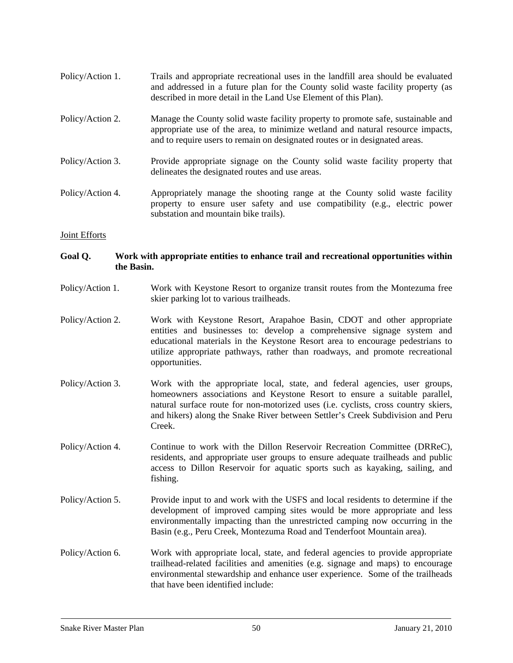- Policy/Action 1. Trails and appropriate recreational uses in the landfill area should be evaluated and addressed in a future plan for the County solid waste facility property (as described in more detail in the Land Use Element of this Plan).
- Policy/Action 2. Manage the County solid waste facility property to promote safe, sustainable and appropriate use of the area, to minimize wetland and natural resource impacts, and to require users to remain on designated routes or in designated areas.
- Policy/Action 3. Provide appropriate signage on the County solid waste facility property that delineates the designated routes and use areas.
- Policy/Action 4. Appropriately manage the shooting range at the County solid waste facility property to ensure user safety and use compatibility (e.g., electric power substation and mountain bike trails).

#### Joint Efforts

## **Goal Q. Work with appropriate entities to enhance trail and recreational opportunities within the Basin.**

- Policy/Action 1. Work with Keystone Resort to organize transit routes from the Montezuma free skier parking lot to various trailheads.
- Policy/Action 2. Work with Keystone Resort, Arapahoe Basin, CDOT and other appropriate entities and businesses to: develop a comprehensive signage system and educational materials in the Keystone Resort area to encourage pedestrians to utilize appropriate pathways, rather than roadways, and promote recreational opportunities.
- Policy/Action 3. Work with the appropriate local, state, and federal agencies, user groups, homeowners associations and Keystone Resort to ensure a suitable parallel, natural surface route for non-motorized uses (i.e. cyclists, cross country skiers, and hikers) along the Snake River between Settler's Creek Subdivision and Peru Creek.
- Policy/Action 4. Continue to work with the Dillon Reservoir Recreation Committee (DRReC), residents, and appropriate user groups to ensure adequate trailheads and public access to Dillon Reservoir for aquatic sports such as kayaking, sailing, and fishing.
- Policy/Action 5. Provide input to and work with the USFS and local residents to determine if the development of improved camping sites would be more appropriate and less environmentally impacting than the unrestricted camping now occurring in the Basin (e.g., Peru Creek, Montezuma Road and Tenderfoot Mountain area).
- Policy/Action 6. Work with appropriate local, state, and federal agencies to provide appropriate trailhead-related facilities and amenities (e.g. signage and maps) to encourage environmental stewardship and enhance user experience. Some of the trailheads that have been identified include: